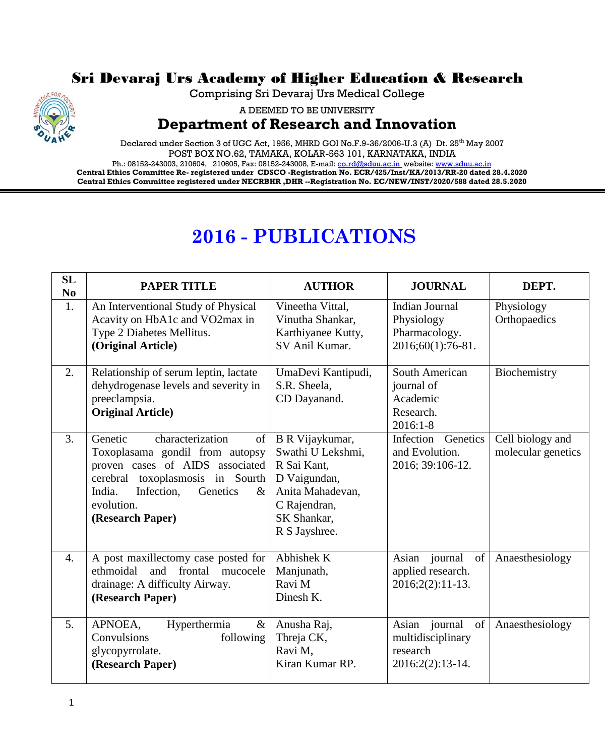

## Sri Devaraj Urs Academy of Higher Education & Research

Comprising Sri Devaraj Urs Medical College

A DEEMED TO BE UNIVERSITY

## **Department of Research and Innovation**

Declared under Section 3 of UGC Act, 1956, MHRD GOI No.F.9-36/2006-U.3 (A) Dt. 25<sup>th</sup> May 2007 POST BOX NO.62, TAMAKA, KOLAR-563 101, KARNATAKA, INDIA

Ph.: 08152-243003, 210604, 210605, Fax: 08152-243008, E-mail[: co.rd@sduu.ac.in](mailto:co.rd@sduu.ac.in) website: [www.sduu.ac.in](http://www.sduu.ac.in/) **Central Ethics Committee Re- registered under CDSCO -Registration No. ECR/425/Inst/KA/2013/RR-20 dated 28.4.2020 Central Ethics Committee registered under NECRBHR ,DHR --Registration No. EC/NEW/INST/2020/588 dated 28.5.2020**

## **2016 - PUBLICATIONS**

| <b>SL</b><br>N <sub>0</sub> | <b>PAPER TITLE</b>                                                                                                                                                                                                        | <b>AUTHOR</b>                                                                                                                           | <b>JOURNAL</b>                                                           | DEPT.                                  |
|-----------------------------|---------------------------------------------------------------------------------------------------------------------------------------------------------------------------------------------------------------------------|-----------------------------------------------------------------------------------------------------------------------------------------|--------------------------------------------------------------------------|----------------------------------------|
| 1.                          | An Interventional Study of Physical<br>Acavity on HbA1c and VO2max in<br>Type 2 Diabetes Mellitus.<br>(Original Article)                                                                                                  | Vineetha Vittal,<br>Vinutha Shankar,<br>Karthiyanee Kutty,<br>SV Anil Kumar.                                                            | Indian Journal<br>Physiology<br>Pharmacology.<br>2016;60(1):76-81.       | Physiology<br>Orthopaedics             |
| 2.                          | Relationship of serum leptin, lactate<br>dehydrogenase levels and severity in<br>preeclampsia.<br><b>Original Article</b> )                                                                                               | UmaDevi Kantipudi,<br>S.R. Sheela,<br>CD Dayanand.                                                                                      | South American<br>journal of<br>Academic<br>Research.<br>$2016:1-8$      | Biochemistry                           |
| 3.                          | Genetic<br>characterization<br>of<br>Toxoplasama gondil from autopsy<br>proven cases of AIDS associated<br>cerebral toxoplasmosis in Sourth<br>India.<br>Infection,<br>Genetics<br>$\&$<br>evolution.<br>(Research Paper) | B R Vijaykumar,<br>Swathi U Lekshmi,<br>R Sai Kant,<br>D Vaigundan,<br>Anita Mahadevan,<br>C Rajendran,<br>SK Shankar,<br>R S Jayshree. | Infection<br>Genetics<br>and Evolution.<br>2016; 39:106-12.              | Cell biology and<br>molecular genetics |
| $\overline{4}$ .            | A post maxillectomy case posted for<br>frontal<br>ethmoidal<br>and<br>mucocele<br>drainage: A difficulty Airway.<br>(Research Paper)                                                                                      | Abhishek K<br>Manjunath,<br>Ravi M<br>Dinesh K.                                                                                         | Asian journal<br>of<br>applied research.<br>$2016;2(2):11-13.$           | Anaesthesiology                        |
| 5.                          | APNOEA,<br>Hyperthermia<br>$\&$<br>Convulsions<br>following<br>glycopyrrolate.<br>(Research Paper)                                                                                                                        | Anusha Raj,<br>Threja CK,<br>Ravi M,<br>Kiran Kumar RP.                                                                                 | Asian journal<br>of<br>multidisciplinary<br>research<br>2016:2(2):13-14. | Anaesthesiology                        |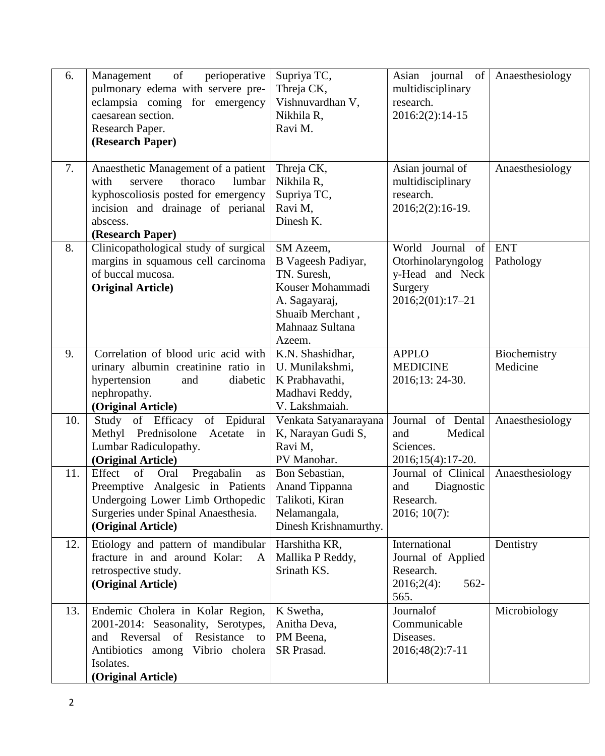| 6.<br>7. | of<br>perioperative<br>Management<br>pulmonary edema with servere pre-<br>eclampsia coming for emergency<br>caesarean section.<br>Research Paper.<br>(Research Paper)<br>Anaesthetic Management of a patient<br>with<br>thoraco<br>lumbar<br>servere<br>kyphoscoliosis posted for emergency<br>incision and drainage of perianal | Supriya TC,<br>Threja CK,<br>Vishnuvardhan V,<br>Nikhila R,<br>Ravi M.<br>Threja CK,<br>Nikhila R,<br>Supriya TC,<br>Ravi M,         | Asian journal of<br>multidisciplinary<br>research.<br>2016:2(2):14-15<br>Asian journal of<br>multidisciplinary<br>research.<br>2016;2(2):16-19. | Anaesthesiology<br>Anaesthesiology |
|----------|----------------------------------------------------------------------------------------------------------------------------------------------------------------------------------------------------------------------------------------------------------------------------------------------------------------------------------|--------------------------------------------------------------------------------------------------------------------------------------|-------------------------------------------------------------------------------------------------------------------------------------------------|------------------------------------|
|          | abscess.<br>(Research Paper)                                                                                                                                                                                                                                                                                                     | Dinesh K.                                                                                                                            |                                                                                                                                                 |                                    |
| 8.       | Clinicopathological study of surgical<br>margins in squamous cell carcinoma<br>of buccal mucosa.<br><b>Original Article</b> )                                                                                                                                                                                                    | SM Azeem,<br>B Vageesh Padiyar,<br>TN. Suresh,<br>Kouser Mohammadi<br>A. Sagayaraj,<br>Shuaib Merchant,<br>Mahnaaz Sultana<br>Azeem. | World Journal<br>of  <br>Otorhinolaryngolog<br>y-Head and Neck<br>Surgery<br>$2016;2(01):17-21$                                                 | <b>ENT</b><br>Pathology            |
| 9.       | Correlation of blood uric acid with<br>urinary albumin creatinine ratio in<br>hypertension<br>diabetic<br>and<br>nephropathy.<br>(Original Article)                                                                                                                                                                              | K.N. Shashidhar,<br>U. Munilakshmi,<br>K Prabhavathi,<br>Madhavi Reddy,<br>V. Lakshmaiah.                                            | <b>APPLO</b><br><b>MEDICINE</b><br>2016;13: 24-30.                                                                                              | Biochemistry<br>Medicine           |
| 10.      | Study of Efficacy<br>of Epidural<br>Methyl Prednisolone<br>Acetate<br>in<br>Lumbar Radiculopathy.<br>(Original Article)                                                                                                                                                                                                          | Venkata Satyanarayana<br>K, Narayan Gudi S,<br>Ravi M,<br>PV Manohar.                                                                | Journal of Dental<br>Medical<br>and<br>Sciences.<br>2016;15(4):17-20.                                                                           | Anaesthesiology                    |
| 11.      | Effect<br>of<br>Pregabalin<br>Oral<br>as<br>Preemptive Analgesic in Patients<br>Undergoing Lower Limb Orthopedic<br>Surgeries under Spinal Anaesthesia.<br>(Original Article)                                                                                                                                                    | Bon Sebastian,<br>Anand Tippanna<br>Talikoti, Kiran<br>Nelamangala,<br>Dinesh Krishnamurthy.                                         | Journal of Clinical<br>and<br>Diagnostic<br>Research.<br>$2016; 10(7)$ :                                                                        | Anaesthesiology                    |
| 12.      | Etiology and pattern of mandibular<br>fracture in and around Kolar:<br>$\mathsf{A}$<br>retrospective study.<br>(Original Article)                                                                                                                                                                                                | Harshitha KR,<br>Mallika P Reddy,<br>Srinath KS.                                                                                     | International<br>Journal of Applied<br>Research.<br>$562-$<br>$2016;2(4)$ :<br>565.                                                             | Dentistry                          |
| 13.      | Endemic Cholera in Kolar Region,<br>2001-2014: Seasonality, Serotypes,<br>Reversal<br>of<br>Resistance to<br>and<br>Antibiotics among Vibrio cholera<br>Isolates.<br>(Original Article)                                                                                                                                          | K Swetha,<br>Anitha Deva,<br>PM Beena,<br>SR Prasad.                                                                                 | Journalof<br>Communicable<br>Diseases.<br>2016;48(2):7-11                                                                                       | Microbiology                       |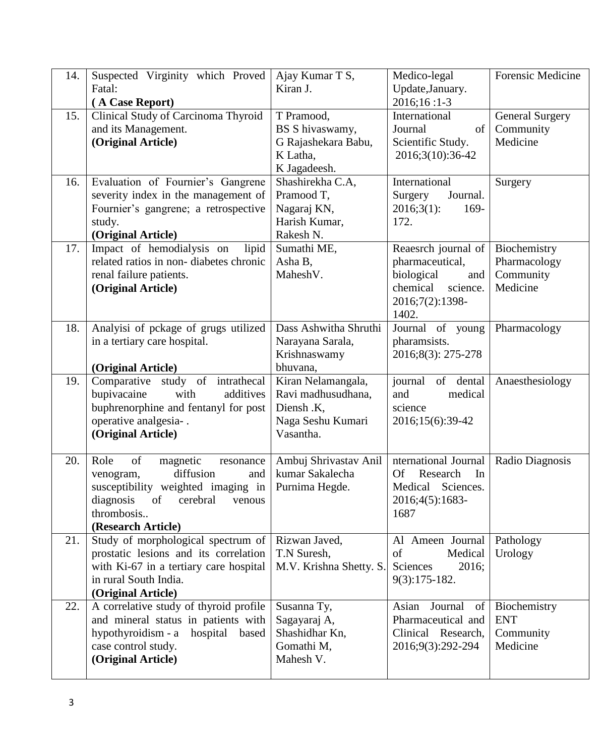| 14. | Suspected Virginity which Proved                         | Ajay Kumar T S,                        | Medico-legal                            | <b>Forensic Medicine</b> |
|-----|----------------------------------------------------------|----------------------------------------|-----------------------------------------|--------------------------|
|     | Fatal:                                                   | Kiran J.                               | Update, January.                        |                          |
|     | (A Case Report)                                          |                                        | 2016;16:1-3                             |                          |
| 15. | Clinical Study of Carcinoma Thyroid                      | T Pramood,                             | International                           | <b>General Surgery</b>   |
|     | and its Management.                                      | BS S hivaswamy,<br>G Rajashekara Babu, | Journal<br>of<br>Scientific Study.      | Community<br>Medicine    |
|     | (Original Article)                                       | K Latha,                               | 2016;3(10):36-42                        |                          |
|     |                                                          | K Jagadeesh.                           |                                         |                          |
| 16. | Evaluation of Fournier's Gangrene                        | Shashirekha C.A,                       | International                           | Surgery                  |
|     | severity index in the management of                      | Pramood T,                             | Journal.<br>Surgery                     |                          |
|     | Fournier's gangrene; a retrospective                     | Nagaraj KN,                            | $2016;3(1)$ :<br>169-                   |                          |
|     | study.                                                   | Harish Kumar,                          | 172.                                    |                          |
|     | (Original Article)                                       | Rakesh N.                              |                                         |                          |
| 17. | Impact of hemodialysis on<br>lipid                       | Sumathi ME,                            | Reaesrch journal of                     | Biochemistry             |
|     | related ratios in non-diabetes chronic                   | Asha B,                                | pharmaceutical,                         | Pharmacology             |
|     | renal failure patients.                                  | Mahesh <sub>V</sub> .                  | biological<br>and                       | Community                |
|     | (Original Article)                                       |                                        | chemical<br>science.<br>2016;7(2):1398- | Medicine                 |
|     |                                                          |                                        | 1402.                                   |                          |
| 18. | Analyisi of pckage of grugs utilized                     | Dass Ashwitha Shruthi                  | Journal of young                        | Pharmacology             |
|     | in a tertiary care hospital.                             | Narayana Sarala,                       | pharamsists.                            |                          |
|     |                                                          | Krishnaswamy                           | 2016;8(3): 275-278                      |                          |
|     | (Original Article)                                       | bhuvana,                               |                                         |                          |
| 19. | Comparative study of intrathecal                         | Kiran Nelamangala,                     | journal<br>of dental                    | Anaesthesiology          |
|     | additives<br>bupivacaine<br>with                         | Ravi madhusudhana,                     | medical<br>and                          |                          |
|     | buphrenorphine and fentanyl for post                     | Diensh .K,                             | science                                 |                          |
|     | operative analgesia-.<br>(Original Article)              | Naga Seshu Kumari<br>Vasantha.         | 2016;15(6):39-42                        |                          |
|     |                                                          |                                        |                                         |                          |
| 20. | of<br>Role<br>magnetic<br>resonance                      | Ambuj Shrivastav Anil                  | nternational Journal                    | Radio Diagnosis          |
|     | diffusion<br>venogram,<br>and                            | kumar Sakalecha                        | <b>Of</b><br>Research<br>In             |                          |
|     | susceptibility weighted imaging in                       | Purnima Hegde.                         | Medical Sciences.                       |                          |
|     | diagnosis<br>cerebral<br>of<br>venous                    |                                        | 2016;4(5):1683-                         |                          |
|     | thrombosis                                               |                                        | 1687                                    |                          |
| 21. | (Research Article)<br>Study of morphological spectrum of | Rizwan Javed,                          | Al Ameen Journal                        | Pathology                |
|     | prostatic lesions and its correlation                    | T.N Suresh,                            | of<br>Medical                           | Urology                  |
|     | with Ki-67 in a tertiary care hospital                   | M.V. Krishna Shetty. S.                | 2016;<br>Sciences                       |                          |
|     | in rural South India.                                    |                                        | $9(3):175-182.$                         |                          |
|     | (Original Article)                                       |                                        |                                         |                          |
| 22. | A correlative study of thyroid profile                   | Susanna Ty,                            | Asian<br>Journal<br>of                  | Biochemistry             |
|     | and mineral status in patients with                      | Sagayaraj A,                           | Pharmaceutical and                      | <b>ENT</b>               |
|     | hypothyroidism - a<br>hospital<br>based                  | Shashidhar Kn,                         | Clinical Research,                      | Community                |
|     | case control study.                                      | Gomathi M,                             | 2016;9(3):292-294                       | Medicine                 |
|     | (Original Article)                                       | Mahesh V.                              |                                         |                          |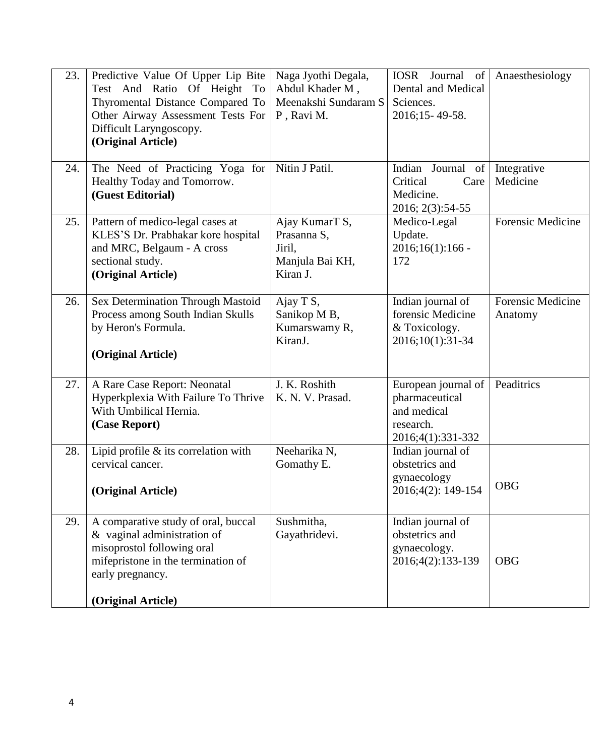| 23. | Predictive Value Of Upper Lip Bite<br>Test And Ratio Of Height To<br>Thyromental Distance Compared To<br>Other Airway Assessment Tests For<br>Difficult Laryngoscopy.<br>(Original Article) | Naga Jyothi Degala,<br>Abdul Khader M,<br>Meenakshi Sundaram S<br>P, Ravi M. | IOSR Journal of<br>Dental and Medical<br>Sciences.<br>2016;15-49-58.                   | Anaesthesiology              |
|-----|---------------------------------------------------------------------------------------------------------------------------------------------------------------------------------------------|------------------------------------------------------------------------------|----------------------------------------------------------------------------------------|------------------------------|
| 24. | The Need of Practicing Yoga for<br>Healthy Today and Tomorrow.<br>(Guest Editorial)                                                                                                         | Nitin J Patil.                                                               | Indian Journal<br>of<br>Critical<br>Care<br>Medicine.<br>2016; 2(3):54-55              | Integrative<br>Medicine      |
| 25. | Pattern of medico-legal cases at<br>KLES'S Dr. Prabhakar kore hospital<br>and MRC, Belgaum - A cross<br>sectional study.<br>(Original Article)                                              | Ajay KumarT S,<br>Prasanna S,<br>Jiril,<br>Manjula Bai KH,<br>Kiran J.       | Medico-Legal<br>Update.<br>$2016;16(1):166$ -<br>172                                   | Forensic Medicine            |
| 26. | Sex Determination Through Mastoid<br>Process among South Indian Skulls<br>by Heron's Formula.<br>(Original Article)                                                                         | Ajay T S,<br>Sanikop M B,<br>Kumarswamy R,<br>KiranJ.                        | Indian journal of<br>forensic Medicine<br>& Toxicology.<br>2016;10(1):31-34            | Forensic Medicine<br>Anatomy |
| 27. | A Rare Case Report: Neonatal<br>Hyperkplexia With Failure To Thrive<br>With Umbilical Hernia.<br>(Case Report)                                                                              | J. K. Roshith<br>K. N. V. Prasad.                                            | European journal of<br>pharmaceutical<br>and medical<br>research.<br>2016;4(1):331-332 | Peaditrics                   |
| 28. | Lipid profile & its correlation with<br>cervical cancer.<br>(Original Article)                                                                                                              | Neeharika N,<br>Gomathy E.                                                   | Indian journal of<br>obstetrics and<br>gynaecology<br>2016;4(2): 149-154               | <b>OBG</b>                   |
| 29. | A comparative study of oral, buccal<br>& vaginal administration of<br>misoprostol following oral<br>mifepristone in the termination of<br>early pregnancy.<br>(Original Article)            | Sushmitha,<br>Gayathridevi.                                                  | Indian journal of<br>obstetrics and<br>gynaecology.<br>2016;4(2):133-139               | <b>OBG</b>                   |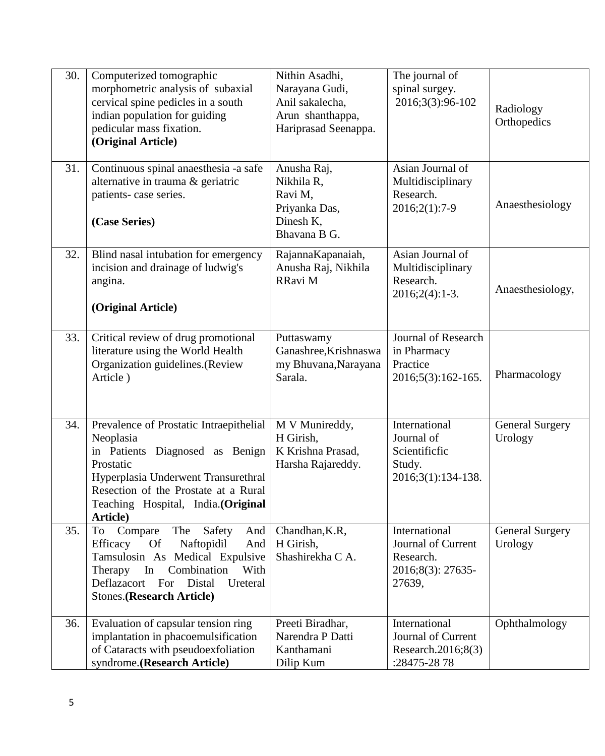| 30. | Computerized tomographic<br>morphometric analysis of subaxial<br>cervical spine pedicles in a south<br>indian population for guiding<br>pedicular mass fixation.<br>(Original Article)                                                          | Nithin Asadhi,<br>Narayana Gudi,<br>Anil sakalecha,<br>Arun shanthappa,<br>Hariprasad Seenappa. | The journal of<br>spinal surgey.<br>2016;3(3):96-102                                   | Radiology<br>Orthopedics          |
|-----|-------------------------------------------------------------------------------------------------------------------------------------------------------------------------------------------------------------------------------------------------|-------------------------------------------------------------------------------------------------|----------------------------------------------------------------------------------------|-----------------------------------|
| 31. | Continuous spinal anaesthesia -a safe<br>alternative in trauma & geriatric<br>patients- case series.<br>(Case Series)                                                                                                                           | Anusha Raj,<br>Nikhila R,<br>Ravi M.<br>Priyanka Das,<br>Dinesh K,<br>Bhavana B G.              | Asian Journal of<br>Multidisciplinary<br>Research.<br>2016;2(1):7-9                    | Anaesthesiology                   |
| 32. | Blind nasal intubation for emergency<br>incision and drainage of ludwig's<br>angina.<br>(Original Article)                                                                                                                                      | RajannaKapanaiah,<br>Anusha Raj, Nikhila<br>RRavi M                                             | Asian Journal of<br>Multidisciplinary<br>Research.<br>$2016;2(4):1-3.$                 | Anaesthesiology,                  |
| 33. | Critical review of drug promotional<br>literature using the World Health<br>Organization guidelines.(Review<br>Article)                                                                                                                         | Puttaswamy<br>Ganashree, Krishnaswa<br>my Bhuvana, Narayana<br>Sarala.                          | <b>Journal of Research</b><br>in Pharmacy<br>Practice<br>2016;5(3):162-165.            | Pharmacology                      |
| 34. | Prevalence of Prostatic Intraepithelial<br>Neoplasia<br>in Patients Diagnosed as Benign<br>Prostatic<br>Hyperplasia Underwent Transurethral<br>Resection of the Prostate at a Rural<br>Teaching Hospital, India.(Original<br>Article)           | M V Munireddy,<br>H Girish,<br>K Krishna Prasad,<br>Harsha Rajareddy.                           | International<br>Journal of<br>Scientificfic<br>Study.<br>2016;3(1):134-138.           | <b>General Surgery</b><br>Urology |
| 35. | Compare<br>The<br>Safety<br>To<br>And<br>Efficacy<br><b>Of</b><br>Naftopidil<br>And<br>Tamsulosin As Medical Expulsive<br>In<br>Combination<br>With<br>Therapy<br>Deflazacort<br>For<br>Distal<br>Ureteral<br><b>Stones.</b> (Research Article) | Chandhan, K.R,<br>H Girish,<br>Shashirekha C A.                                                 | International<br><b>Journal of Current</b><br>Research.<br>2016;8(3): 27635-<br>27639, | <b>General Surgery</b><br>Urology |
| 36. | Evaluation of capsular tension ring<br>implantation in phacoemulsification<br>of Cataracts with pseudoexfoliation<br>syndrome.(Research Article)                                                                                                | Preeti Biradhar,<br>Narendra P Datti<br>Kanthamani<br>Dilip Kum                                 | International<br>Journal of Current<br>Research.2016;8(3)<br>:28475-2878               | Ophthalmology                     |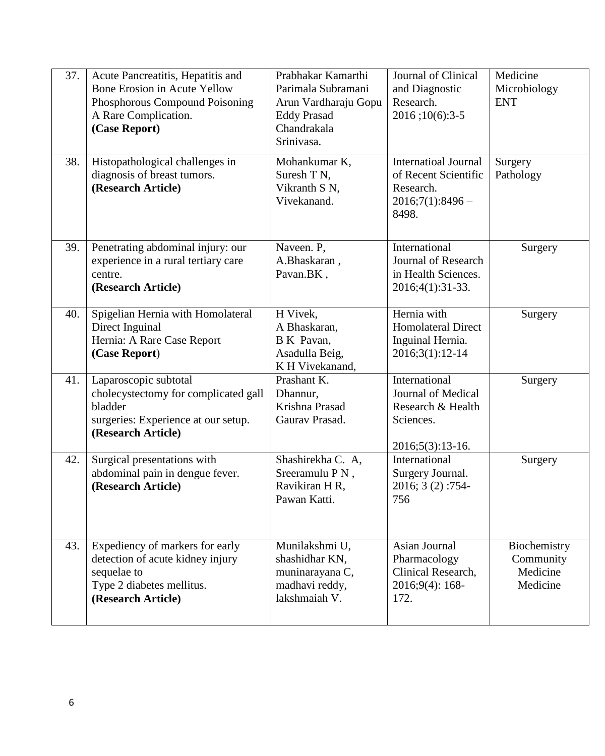| 37. | Acute Pancreatitis, Hepatitis and<br><b>Bone Erosion in Acute Yellow</b><br>Phosphorous Compound Poisoning<br>A Rare Complication.<br>(Case Report) | Prabhakar Kamarthi<br>Parimala Subramani<br>Arun Vardharaju Gopu<br><b>Eddy Prasad</b><br>Chandrakala<br>Srinivasa. | Journal of Clinical<br>and Diagnostic<br>Research.<br>2016;10(6):3-5                           | Medicine<br>Microbiology<br><b>ENT</b>            |
|-----|-----------------------------------------------------------------------------------------------------------------------------------------------------|---------------------------------------------------------------------------------------------------------------------|------------------------------------------------------------------------------------------------|---------------------------------------------------|
| 38. | Histopathological challenges in<br>diagnosis of breast tumors.<br>(Research Article)                                                                | Mohankumar K,<br>Suresh T N,<br>Vikranth S N,<br>Vivekanand.                                                        | <b>Internatioal Journal</b><br>of Recent Scientific<br>Research.<br>$2016;7(1):8496-$<br>8498. | Surgery<br>Pathology                              |
| 39. | Penetrating abdominal injury: our<br>experience in a rural tertiary care<br>centre.<br>(Research Article)                                           | Naveen. P,<br>A.Bhaskaran,<br>Pavan.BK,                                                                             | International<br>Journal of Research<br>in Health Sciences.<br>2016;4(1):31-33.                | Surgery                                           |
| 40. | Spigelian Hernia with Homolateral<br>Direct Inguinal<br>Hernia: A Rare Case Report<br>(Case Report)                                                 | H Vivek,<br>A Bhaskaran,<br>B K Pavan,<br>Asadulla Beig,<br>K H Vivekanand,                                         | Hernia with<br><b>Homolateral Direct</b><br>Inguinal Hernia.<br>2016;3(1):12-14                | Surgery                                           |
| 41. | Laparoscopic subtotal<br>cholecystectomy for complicated gall<br>bladder<br>surgeries: Experience at our setup.<br>(Research Article)               | Prashant K.<br>Dhannur,<br>Krishna Prasad<br>Gaurav Prasad.                                                         | International<br>Journal of Medical<br>Research & Health<br>Sciences.<br>$2016; 5(3): 13-16.$  | Surgery                                           |
| 42. | Surgical presentations with<br>abdominal pain in dengue fever.<br>(Research Article)                                                                | Shashirekha C. A,<br>Sreeramulu PN,<br>Ravikiran H R,<br>Pawan Katti.                                               | International<br>Surgery Journal.<br>2016; 3 (2):754-<br>756                                   | Surgery                                           |
| 43. | Expediency of markers for early<br>detection of acute kidney injury<br>sequelae to<br>Type 2 diabetes mellitus.<br>(Research Article)               | Munilakshmi U,<br>shashidhar KN,<br>muninarayana C,<br>madhavi reddy,<br>lakshmaiah V.                              | Asian Journal<br>Pharmacology<br>Clinical Research,<br>2016;9(4): 168-<br>172.                 | Biochemistry<br>Community<br>Medicine<br>Medicine |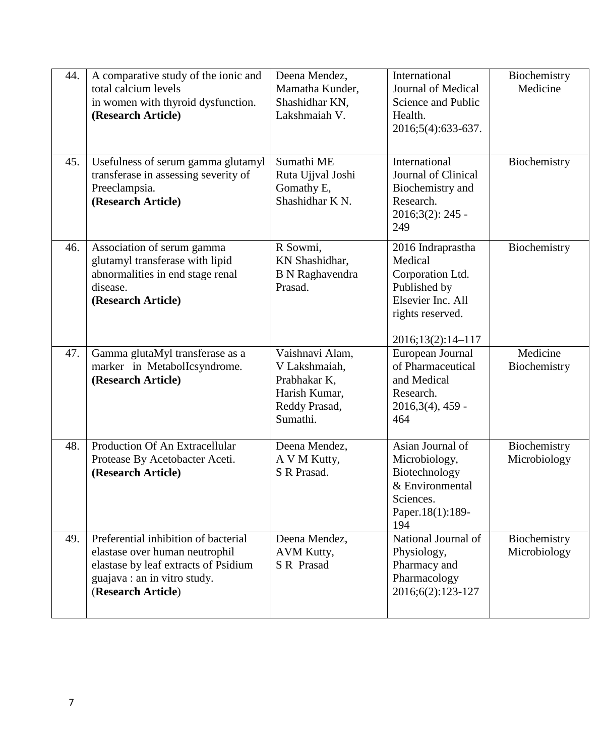| 44. | A comparative study of the ionic and<br>total calcium levels<br>in women with thyroid dysfunction.<br>(Research Article)                                             | Deena Mendez,<br>Mamatha Kunder,<br>Shashidhar KN,<br>Lakshmaiah V.                            | International<br>Journal of Medical<br>Science and Public<br>Health.<br>2016;5(4):633-637.                                     | Biochemistry<br>Medicine     |
|-----|----------------------------------------------------------------------------------------------------------------------------------------------------------------------|------------------------------------------------------------------------------------------------|--------------------------------------------------------------------------------------------------------------------------------|------------------------------|
| 45. | Usefulness of serum gamma glutamyl<br>transferase in assessing severity of<br>Preeclampsia.<br>(Research Article)                                                    | Sumathi ME<br>Ruta Ujjval Joshi<br>Gomathy E,<br>Shashidhar K <sub>N</sub> .                   | International<br>Journal of Clinical<br>Biochemistry and<br>Research.<br>2016;3(2): 245 -<br>249                               | Biochemistry                 |
| 46. | Association of serum gamma<br>glutamyl transferase with lipid<br>abnormalities in end stage renal<br>disease.<br>(Research Article)                                  | R Sowmi,<br>KN Shashidhar,<br><b>B</b> N Raghavendra<br>Prasad.                                | 2016 Indraprastha<br>Medical<br>Corporation Ltd.<br>Published by<br>Elsevier Inc. All<br>rights reserved.<br>2016;13(2):14-117 | Biochemistry                 |
| 47. | Gamma glutaMyl transferase as a<br>marker in MetabolIcsyndrome.<br>(Research Article)                                                                                | Vaishnavi Alam,<br>V Lakshmaiah,<br>Prabhakar K,<br>Harish Kumar,<br>Reddy Prasad,<br>Sumathi. | European Journal<br>of Pharmaceutical<br>and Medical<br>Research.<br>$2016,3(4)$ , 459 -<br>464                                | Medicine<br>Biochemistry     |
| 48. | Production Of An Extracellular<br>Protease By Acetobacter Aceti.<br>(Research Article)                                                                               | Deena Mendez,<br>A V M Kutty,<br>S R Prasad.                                                   | Asian Journal of<br>Microbiology,<br>Biotechnology<br>& Environmental<br>Sciences.<br>Paper.18(1):189-<br>194                  | Biochemistry<br>Microbiology |
| 49. | Preferential inhibition of bacterial<br>elastase over human neutrophil<br>elastase by leaf extracts of Psidium<br>guajava : an in vitro study.<br>(Research Article) | Deena Mendez,<br>AVM Kutty,<br>S R Prasad                                                      | National Journal of<br>Physiology,<br>Pharmacy and<br>Pharmacology<br>2016;6(2):123-127                                        | Biochemistry<br>Microbiology |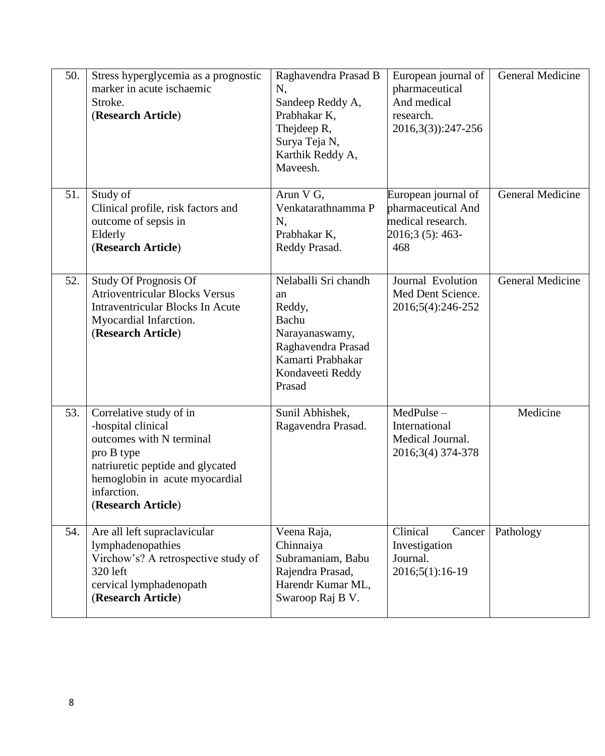| 50. | Stress hyperglycemia as a prognostic<br>marker in acute ischaemic<br>Stroke.<br>(Research Article)                                                                                                 | Raghavendra Prasad B<br>N,<br>Sandeep Reddy A,<br>Prabhakar K,<br>Thejdeep R,<br>Surya Teja N,<br>Karthik Reddy A,<br>Maveesh.           | European journal of<br>pharmaceutical<br>And medical<br>research.<br>2016, 3(3): 247-256  | General Medicine |
|-----|----------------------------------------------------------------------------------------------------------------------------------------------------------------------------------------------------|------------------------------------------------------------------------------------------------------------------------------------------|-------------------------------------------------------------------------------------------|------------------|
| 51. | Study of<br>Clinical profile, risk factors and<br>outcome of sepsis in<br>Elderly<br>(Research Article)                                                                                            | Arun V G,<br>Venkatarathnamma P<br>N,<br>Prabhakar K,<br>Reddy Prasad.                                                                   | European journal of<br>pharmaceutical And<br>medical research.<br>2016;3 (5): 463-<br>468 | General Medicine |
| 52. | <b>Study Of Prognosis Of</b><br><b>Atrioventricular Blocks Versus</b><br><b>Intraventricular Blocks In Acute</b><br>Myocardial Infarction.<br>(Research Article)                                   | Nelaballi Sri chandh<br>an<br>Reddy,<br>Bachu<br>Narayanaswamy,<br>Raghavendra Prasad<br>Kamarti Prabhakar<br>Kondaveeti Reddy<br>Prasad | Journal Evolution<br>Med Dent Science.<br>2016;5(4):246-252                               | General Medicine |
| 53. | Correlative study of in<br>-hospital clinical<br>outcomes with N terminal<br>pro B type<br>natriuretic peptide and glycated<br>hemoglobin in acute myocardial<br>infarction.<br>(Research Article) | Sunil Abhishek,<br>Ragavendra Prasad.                                                                                                    | MedPulse-<br>International<br>Medical Journal.<br>2016;3(4) 374-378                       | Medicine         |
| 54. | Are all left supraclavicular<br>lymphadenopathies<br>Virchow's? A retrospective study of<br>320 left<br>cervical lymphadenopath<br>(Research Article)                                              | Veena Raja,<br>Chinnaiya<br>Subramaniam, Babu<br>Rajendra Prasad,<br>Harendr Kumar ML,<br>Swaroop Raj B V.                               | Clinical<br>Cancer<br>Investigation<br>Journal.<br>2016;5(1):16-19                        | Pathology        |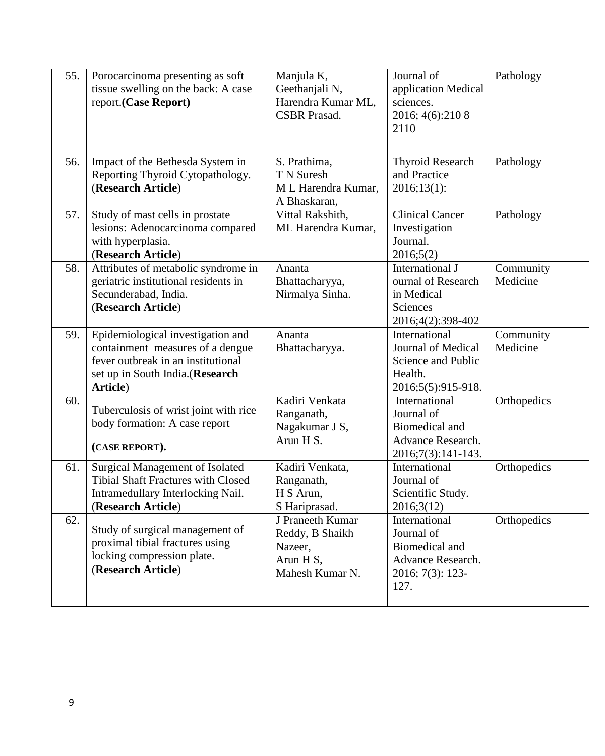| 55. | Porocarcinoma presenting as soft<br>tissue swelling on the back: A case<br>report.(Case Report)                                                            | Manjula K,<br>Geethanjali N,<br>Harendra Kumar ML,<br><b>CSBR</b> Prasad.      | Journal of<br>application Medical<br>sciences.<br>2016; $4(6):2108-$<br>2110                          | Pathology             |
|-----|------------------------------------------------------------------------------------------------------------------------------------------------------------|--------------------------------------------------------------------------------|-------------------------------------------------------------------------------------------------------|-----------------------|
| 56. | Impact of the Bethesda System in<br>Reporting Thyroid Cytopathology.<br>(Research Article)                                                                 | S. Prathima,<br>T N Suresh<br>M L Harendra Kumar,<br>A Bhaskaran,              | <b>Thyroid Research</b><br>and Practice<br>2016;13(1):                                                | Pathology             |
| 57. | Study of mast cells in prostate<br>lesions: Adenocarcinoma compared<br>with hyperplasia.<br>(Research Article)                                             | Vittal Rakshith,<br>ML Harendra Kumar,                                         | <b>Clinical Cancer</b><br>Investigation<br>Journal.<br>2016;5(2)                                      | Pathology             |
| 58. | Attributes of metabolic syndrome in<br>geriatric institutional residents in<br>Secunderabad, India.<br>(Research Article)                                  | Ananta<br>Bhattacharyya,<br>Nirmalya Sinha.                                    | International J<br>ournal of Research<br>in Medical<br>Sciences<br>2016;4(2):398-402                  | Community<br>Medicine |
| 59. | Epidemiological investigation and<br>containment measures of a dengue<br>fever outbreak in an institutional<br>set up in South India.(Research<br>Article) | Ananta<br>Bhattacharyya.                                                       | International<br>Journal of Medical<br>Science and Public<br>Health.<br>2016;5(5):915-918.            | Community<br>Medicine |
| 60. | Tuberculosis of wrist joint with rice<br>body formation: A case report<br>(CASE REPORT).                                                                   | Kadiri Venkata<br>Ranganath,<br>Nagakumar J S,<br>Arun H S.                    | International<br>Journal of<br>Biomedical and<br>Advance Research.<br>2016;7(3):141-143.              | Orthopedics           |
| 61. | <b>Surgical Management of Isolated</b><br><b>Tibial Shaft Fractures with Closed</b><br>Intramedullary Interlocking Nail.<br>(Research Article)             | Kadiri Venkata,<br>Ranganath,<br>H S Arun,<br>S Hariprasad.                    | International<br>Journal of<br>Scientific Study.<br>2016;3(12)                                        | Orthopedics           |
| 62. | Study of surgical management of<br>proximal tibial fractures using<br>locking compression plate.<br>(Research Article)                                     | J Praneeth Kumar<br>Reddy, B Shaikh<br>Nazeer,<br>Arun H S,<br>Mahesh Kumar N. | International<br>Journal of<br><b>Biomedical and</b><br>Advance Research.<br>2016; 7(3): 123-<br>127. | Orthopedics           |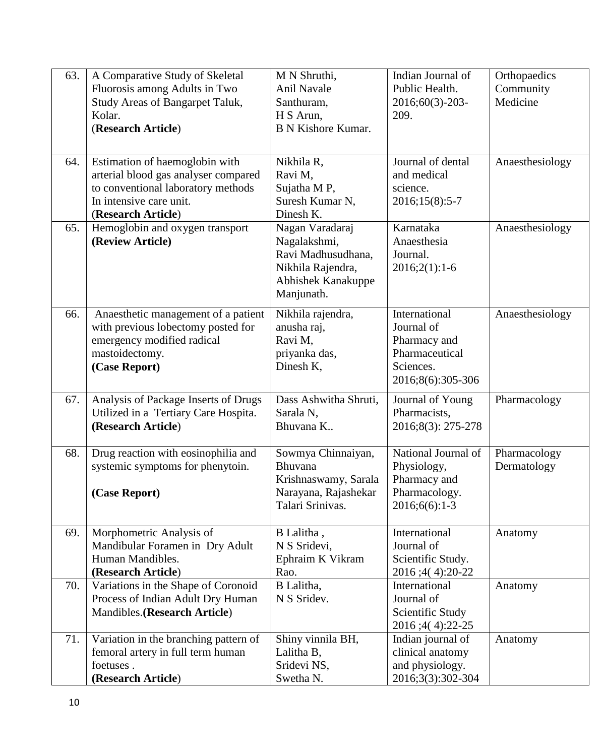| 63. | A Comparative Study of Skeletal<br>Fluorosis among Adults in Two<br>Study Areas of Bangarpet Taluk,<br>Kolar.                                                 | M N Shruthi,<br>Anil Navale<br>Santhuram,<br>H S Arun,                                                         | Indian Journal of<br>Public Health.<br>2016;60(3)-203-<br>209.                                  | Orthopaedics<br>Community<br>Medicine |
|-----|---------------------------------------------------------------------------------------------------------------------------------------------------------------|----------------------------------------------------------------------------------------------------------------|-------------------------------------------------------------------------------------------------|---------------------------------------|
|     | (Research Article)                                                                                                                                            | <b>B N Kishore Kumar.</b>                                                                                      |                                                                                                 |                                       |
| 64. | Estimation of haemoglobin with<br>arterial blood gas analyser compared<br>to conventional laboratory methods<br>In intensive care unit.<br>(Research Article) | Nikhila R,<br>Ravi M,<br>Sujatha M P,<br>Suresh Kumar N,<br>Dinesh K.                                          | Journal of dental<br>and medical<br>science.<br>2016;15(8):5-7                                  | Anaesthesiology                       |
| 65. | Hemoglobin and oxygen transport<br>(Review Article)                                                                                                           | Nagan Varadaraj<br>Nagalakshmi,<br>Ravi Madhusudhana,<br>Nikhila Rajendra,<br>Abhishek Kanakuppe<br>Manjunath. | Karnataka<br>Anaesthesia<br>Journal.<br>$2016;2(1):1-6$                                         | Anaesthesiology                       |
| 66. | Anaesthetic management of a patient<br>with previous lobectomy posted for<br>emergency modified radical<br>mastoidectomy.<br>(Case Report)                    | Nikhila rajendra,<br>anusha raj,<br>Ravi M,<br>priyanka das,<br>Dinesh K,                                      | International<br>Journal of<br>Pharmacy and<br>Pharmaceutical<br>Sciences.<br>2016;8(6):305-306 | Anaesthesiology                       |
| 67. | Analysis of Package Inserts of Drugs<br>Utilized in a Tertiary Care Hospita.<br>(Research Article)                                                            | Dass Ashwitha Shruti,<br>Sarala N,<br>Bhuvana K                                                                | Journal of Young<br>Pharmacists,<br>2016;8(3): 275-278                                          | Pharmacology                          |
| 68. | Drug reaction with eosinophilia and<br>systemic symptoms for phenytoin.<br>(Case Report)                                                                      | Sowmya Chinnaiyan,<br>Bhuvana<br>Krishnaswamy, Sarala<br>Narayana, Rajashekar<br>Talari Srinivas.              | National Journal of<br>Physiology,<br>Pharmacy and<br>Pharmacology.<br>$2016;6(6):1-3$          | Pharmacology<br>Dermatology           |
| 69. | Morphometric Analysis of<br>Mandibular Foramen in Dry Adult<br>Human Mandibles.<br>(Research Article)                                                         | B Lalitha,<br>N S Sridevi,<br>Ephraim K Vikram<br>Rao.                                                         | International<br>Journal of<br>Scientific Study.<br>2016;4(4):20-22                             | Anatomy                               |
| 70. | Variations in the Shape of Coronoid<br>Process of Indian Adult Dry Human<br>Mandibles.(Research Article)                                                      | B Lalitha,<br>N S Sridev.                                                                                      | International<br>Journal of<br>Scientific Study<br>2016;4(4):22-25                              | Anatomy                               |
| 71. | Variation in the branching pattern of<br>femoral artery in full term human<br>foetuses.<br>(Research Article)                                                 | Shiny vinnila BH,<br>Lalitha B,<br>Sridevi NS,<br>Swetha N.                                                    | Indian journal of<br>clinical anatomy<br>and physiology.<br>2016;3(3):302-304                   | Anatomy                               |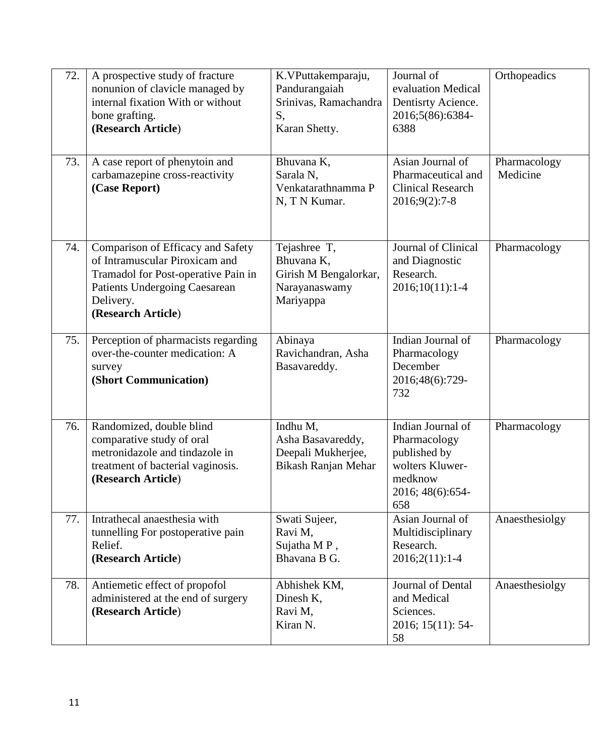| 72. | A prospective study of fracture<br>nonunion of clavicle managed by<br>internal fixation With or without<br>bone grafting.<br>(Research Article)                                | K.VPuttakemparaju,<br>Pandurangaiah<br>Srinivas, Ramachandra<br>S,<br>Karan Shetty. | Journal of<br>evaluation Medical<br>Dentisrty Acience.<br>2016;5(86):6384-<br>6388                         | Orthopeadics             |
|-----|--------------------------------------------------------------------------------------------------------------------------------------------------------------------------------|-------------------------------------------------------------------------------------|------------------------------------------------------------------------------------------------------------|--------------------------|
| 73. | A case report of phenytoin and<br>carbamazepine cross-reactivity<br>(Case Report)                                                                                              | Bhuvana K,<br>Sarala <sub>N.</sub><br>Venkatarathnamma P<br>N, T N Kumar.           | Asian Journal of<br>Pharmaceutical and<br><b>Clinical Research</b><br>$2016;9(2):7-8$                      | Pharmacology<br>Medicine |
| 74. | Comparison of Efficacy and Safety<br>of Intramuscular Piroxicam and<br>Tramadol for Post-operative Pain in<br>Patients Undergoing Caesarean<br>Delivery.<br>(Research Article) | Tejashree T,<br>Bhuvana K,<br>Girish M Bengalorkar,<br>Narayanaswamy<br>Mariyappa   | Journal of Clinical<br>and Diagnostic<br>Research.<br>$2016;10(11):1-4$                                    | Pharmacology             |
| 75. | Perception of pharmacists regarding<br>over-the-counter medication: A<br>survey<br>(Short Communication)                                                                       | Abinaya<br>Ravichandran, Asha<br>Basavareddy.                                       | Indian Journal of<br>Pharmacology<br>December<br>2016;48(6):729-<br>732                                    | Pharmacology             |
| 76. | Randomized, double blind<br>comparative study of oral<br>metronidazole and tindazole in<br>treatment of bacterial vaginosis.<br>(Research Article)                             | Indhu M,<br>Asha Basavareddy,<br>Deepali Mukherjee,<br>Bikash Ranjan Mehar          | Indian Journal of<br>Pharmacology<br>published by<br>wolters Kluwer-<br>medknow<br>2016; 48(6):654-<br>658 | Pharmacology             |
| 77. | Intrathecal anaesthesia with<br>tunnelling For postoperative pain<br>Relief.<br>(Research Article)                                                                             | Swati Sujeer,<br>Ravi M.<br>Sujatha MP,<br>Bhavana B G.                             | Asian Journal of<br>Multidisciplinary<br>Research.<br>$2016;2(11):1-4$                                     | Anaesthesiolgy           |
| 78. | Antiemetic effect of propofol<br>administered at the end of surgery<br>(Research Article)                                                                                      | Abhishek KM,<br>Dinesh K,<br>Ravi M,<br>Kiran N.                                    | Journal of Dental<br>and Medical<br>Sciences.<br>2016; 15(11): 54-<br>58                                   | Anaesthesiolgy           |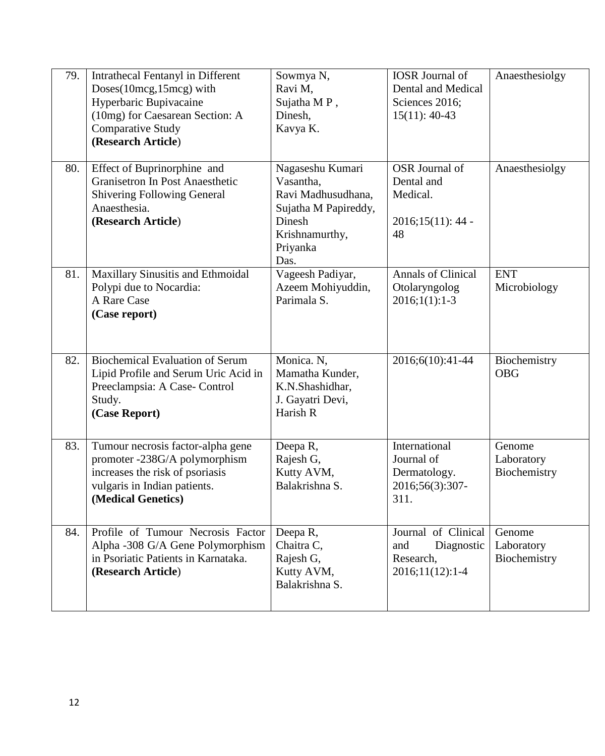| 79. | Intrathecal Fentanyl in Different<br>Doses(10mcg,15mcg) with<br>Hyperbaric Bupivacaine<br>(10mg) for Caesarean Section: A<br><b>Comparative Study</b><br>(Research Article) | Sowmya N,<br>Ravi M,<br>Sujatha MP,<br>Dinesh,<br>Kavya K.                                                                  | <b>IOSR</b> Journal of<br>Dental and Medical<br>Sciences 2016;<br>$15(11): 40-43$ | Anaesthesiolgy                       |
|-----|-----------------------------------------------------------------------------------------------------------------------------------------------------------------------------|-----------------------------------------------------------------------------------------------------------------------------|-----------------------------------------------------------------------------------|--------------------------------------|
| 80. | Effect of Buprinorphine and<br>Granisetron In Post Anaesthetic<br>Shivering Following General<br>Anaesthesia.<br>(Research Article)                                         | Nagaseshu Kumari<br>Vasantha,<br>Ravi Madhusudhana,<br>Sujatha M Papireddy,<br>Dinesh<br>Krishnamurthy,<br>Priyanka<br>Das. | OSR Journal of<br>Dental and<br>Medical.<br>$2016;15(11):44$ -<br>48              | Anaesthesiolgy                       |
| 81. | Maxillary Sinusitis and Ethmoidal<br>Polypi due to Nocardia:<br>A Rare Case<br>(Case report)                                                                                | Vageesh Padiyar,<br>Azeem Mohiyuddin,<br>Parimala S.                                                                        | <b>Annals of Clinical</b><br>Otolaryngolog<br>$2016;1(1):1-3$                     | <b>ENT</b><br>Microbiology           |
| 82. | <b>Biochemical Evaluation of Serum</b><br>Lipid Profile and Serum Uric Acid in<br>Preeclampsia: A Case- Control<br>Study.<br>(Case Report)                                  | Monica. N.<br>Mamatha Kunder,<br>K.N.Shashidhar,<br>J. Gayatri Devi,<br>Harish R                                            | 2016;6(10):41-44                                                                  | Biochemistry<br><b>OBG</b>           |
| 83. | Tumour necrosis factor-alpha gene<br>promoter -238G/A polymorphism<br>increases the risk of psoriasis<br>vulgaris in Indian patients.<br>(Medical Genetics)                 | Deepa R,<br>Rajesh G,<br>Kutty AVM,<br>Balakrishna S.                                                                       | International<br>Journal of<br>Dermatology.<br>2016;56(3):307-<br>311.            | Genome<br>Laboratory<br>Biochemistry |
| 84. | Profile of Tumour Necrosis Factor<br>Alpha -308 G/A Gene Polymorphism<br>in Psoriatic Patients in Karnataka.<br>(Research Article)                                          | Deepa R,<br>Chaitra C,<br>Rajesh G,<br>Kutty AVM,<br>Balakrishna S.                                                         | Journal of Clinical<br>and<br>Diagnostic<br>Research,<br>2016;11(12):1-4          | Genome<br>Laboratory<br>Biochemistry |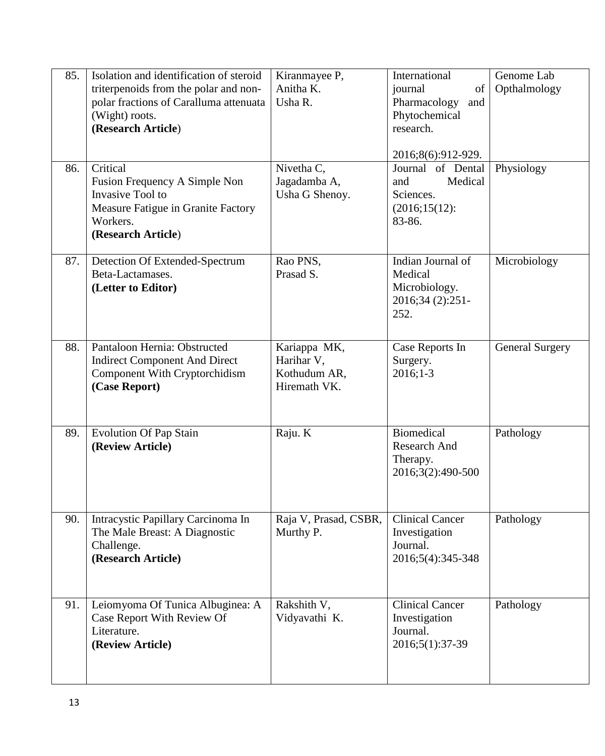| 85.<br>86. | Isolation and identification of steroid<br>triterpenoids from the polar and non-<br>polar fractions of Caralluma attenuata<br>(Wight) roots.<br>(Research Article)<br>Critical<br>Fusion Frequency A Simple Non<br>Invasive Tool to<br>Measure Fatigue in Granite Factory<br>Workers.<br>(Research Article) | Kiranmayee P,<br>Anitha K.<br>Usha R.<br>Nivetha C,<br>Jagadamba A,<br>Usha G Shenoy. | International<br>journal<br>of<br>Pharmacology<br>and<br>Phytochemical<br>research.<br>2016;8(6):912-929.<br>Journal of Dental<br>Medical<br>and<br>Sciences.<br>$(2016;15(12))$ :<br>83-86. | Genome Lab<br>Opthalmology<br>Physiology |
|------------|-------------------------------------------------------------------------------------------------------------------------------------------------------------------------------------------------------------------------------------------------------------------------------------------------------------|---------------------------------------------------------------------------------------|----------------------------------------------------------------------------------------------------------------------------------------------------------------------------------------------|------------------------------------------|
| 87.        | Detection Of Extended-Spectrum<br>Beta-Lactamases.<br>(Letter to Editor)                                                                                                                                                                                                                                    | Rao PNS,<br>Prasad S.                                                                 | Indian Journal of<br>Medical<br>Microbiology.<br>2016;34 (2):251-<br>252.                                                                                                                    | Microbiology                             |
| 88.        | Pantaloon Hernia: Obstructed<br><b>Indirect Component And Direct</b><br>Component With Cryptorchidism<br>(Case Report)                                                                                                                                                                                      | Kariappa MK,<br>Harihar V,<br>Kothudum AR,<br>Hiremath VK.                            | Case Reports In<br>Surgery.<br>$2016;1-3$                                                                                                                                                    | <b>General Surgery</b>                   |
| 89.        | <b>Evolution Of Pap Stain</b><br>(Review Article)                                                                                                                                                                                                                                                           | Raju. K                                                                               | <b>Biomedical</b><br>Research And<br>Therapy.<br>2016;3(2):490-500                                                                                                                           | Pathology                                |
| 90.        | Intracystic Papillary Carcinoma In<br>The Male Breast: A Diagnostic<br>Challenge.<br>(Research Article)                                                                                                                                                                                                     | Raja V, Prasad, CSBR,<br>Murthy P.                                                    | <b>Clinical Cancer</b><br>Investigation<br>Journal.<br>2016;5(4):345-348                                                                                                                     | Pathology                                |
| 91.        | Leiomyoma Of Tunica Albuginea: A<br>Case Report With Review Of<br>Literature.<br>(Review Article)                                                                                                                                                                                                           | Rakshith V,<br>Vidyavathi K.                                                          | <b>Clinical Cancer</b><br>Investigation<br>Journal.<br>2016;5(1):37-39                                                                                                                       | Pathology                                |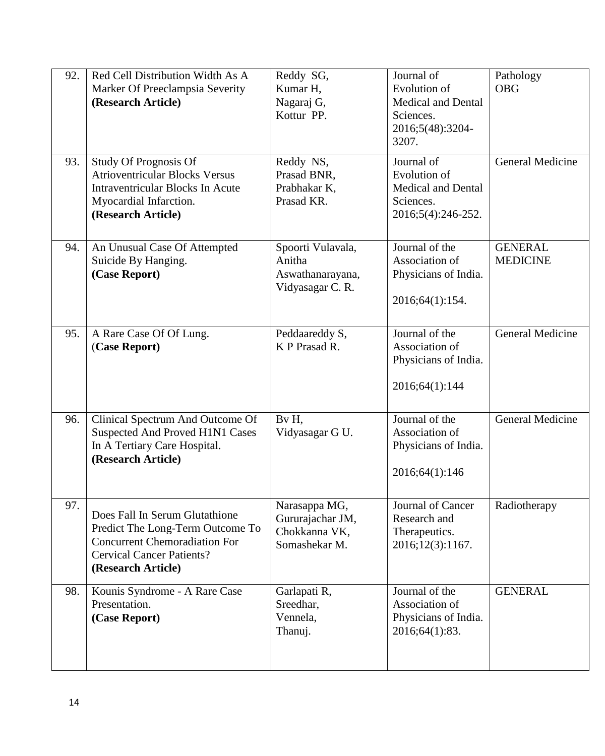| 92.<br>93. | Red Cell Distribution Width As A<br>Marker Of Preeclampsia Severity<br>(Research Article)<br><b>Study Of Prognosis Of</b><br><b>Atrioventricular Blocks Versus</b>   | Reddy SG,<br>Kumar H,<br>Nagaraj G,<br>Kottur PP.<br>Reddy NS,<br>Prasad BNR, | Journal of<br>Evolution of<br><b>Medical and Dental</b><br>Sciences.<br>2016;5(48):3204-<br>3207.<br>Journal of<br>Evolution of | Pathology<br><b>OBG</b><br><b>General Medicine</b> |
|------------|----------------------------------------------------------------------------------------------------------------------------------------------------------------------|-------------------------------------------------------------------------------|---------------------------------------------------------------------------------------------------------------------------------|----------------------------------------------------|
|            | <b>Intraventricular Blocks In Acute</b><br>Myocardial Infarction.<br>(Research Article)                                                                              | Prabhakar K,<br>Prasad KR.                                                    | <b>Medical and Dental</b><br>Sciences.<br>2016;5(4):246-252.                                                                    |                                                    |
| 94.        | An Unusual Case Of Attempted<br>Suicide By Hanging.<br>(Case Report)                                                                                                 | Spoorti Vulavala,<br>Anitha<br>Aswathanarayana,<br>Vidyasagar C. R.           | Journal of the<br>Association of<br>Physicians of India.<br>2016;64(1):154.                                                     | <b>GENERAL</b><br><b>MEDICINE</b>                  |
| 95.        | A Rare Case Of Of Lung.<br>(Case Report)                                                                                                                             | Peddaareddy S,<br>K P Prasad R.                                               | Journal of the<br>Association of<br>Physicians of India.<br>2016;64(1):144                                                      | General Medicine                                   |
| 96.        | Clinical Spectrum And Outcome Of<br>Suspected And Proved H1N1 Cases<br>In A Tertiary Care Hospital.<br>(Research Article)                                            | By H,<br>Vidyasagar G U.                                                      | Journal of the<br>Association of<br>Physicians of India.<br>2016;64(1):146                                                      | <b>General Medicine</b>                            |
| 97.        | Does Fall In Serum Glutathione<br>Predict The Long-Term Outcome To<br><b>Concurrent Chemoradiation For</b><br><b>Cervical Cancer Patients?</b><br>(Research Article) | Narasappa MG,<br>Gururajachar JM,<br>Chokkanna VK,<br>Somashekar M.           | Journal of Cancer<br>Research and<br>Therapeutics.<br>2016;12(3):1167.                                                          | Radiotherapy                                       |
| 98.        | Kounis Syndrome - A Rare Case<br>Presentation.<br>(Case Report)                                                                                                      | Garlapati R,<br>Sreedhar,<br>Vennela,<br>Thanuj.                              | Journal of the<br>Association of<br>Physicians of India.<br>2016;64(1):83.                                                      | <b>GENERAL</b>                                     |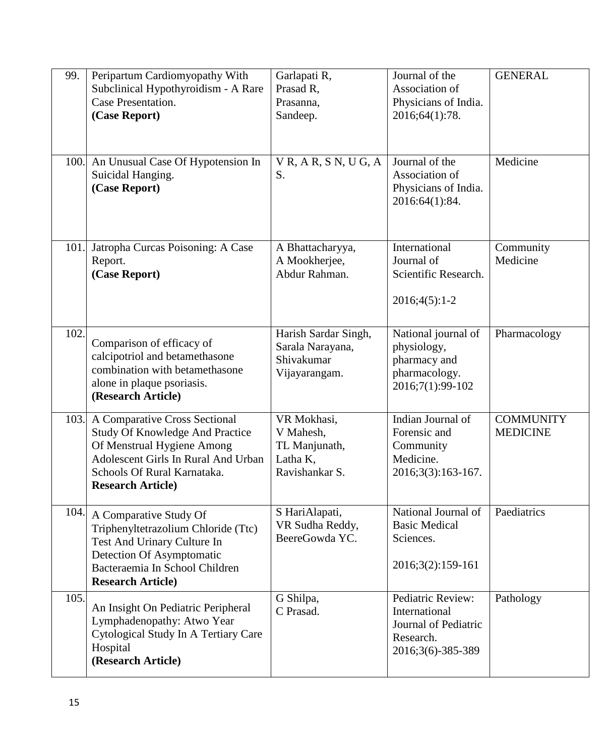| 99.  | Peripartum Cardiomyopathy With<br>Subclinical Hypothyroidism - A Rare<br>Case Presentation.<br>(Case Report)<br>100. An Unusual Case Of Hypotension In<br>Suicidal Hanging.                              | Garlapati R,<br>Prasad R,<br>Prasanna,<br>Sandeep.<br>$V$ R, A R, S N, U G, A<br>S. | Journal of the<br>Association of<br>Physicians of India.<br>2016;64(1):78.<br>Journal of the<br>Association of | <b>GENERAL</b><br>Medicine          |
|------|----------------------------------------------------------------------------------------------------------------------------------------------------------------------------------------------------------|-------------------------------------------------------------------------------------|----------------------------------------------------------------------------------------------------------------|-------------------------------------|
|      | (Case Report)                                                                                                                                                                                            |                                                                                     | Physicians of India.<br>2016:64(1):84.                                                                         |                                     |
| 101. | Jatropha Curcas Poisoning: A Case<br>Report.<br>(Case Report)                                                                                                                                            | A Bhattacharyya,<br>A Mookherjee,<br>Abdur Rahman.                                  | International<br>Journal of<br>Scientific Research.<br>$2016;4(5):1-2$                                         | Community<br>Medicine               |
| 102. | Comparison of efficacy of<br>calcipotriol and betamethasone<br>combination with betamethasone<br>alone in plaque psoriasis.<br>(Research Article)                                                        | Harish Sardar Singh,<br>Sarala Narayana,<br>Shivakumar<br>Vijayarangam.             | National journal of<br>physiology,<br>pharmacy and<br>pharmacology.<br>2016;7(1):99-102                        | Pharmacology                        |
| 103. | A Comparative Cross Sectional<br><b>Study Of Knowledge And Practice</b><br>Of Menstrual Hygiene Among<br>Adolescent Girls In Rural And Urban<br>Schools Of Rural Karnataka.<br><b>Research Article</b> ) | VR Mokhasi,<br>V Mahesh,<br>TL Manjunath,<br>Latha K,<br>Ravishankar S.             | Indian Journal of<br>Forensic and<br>Community<br>Medicine.<br>2016;3(3):163-167.                              | <b>COMMUNITY</b><br><b>MEDICINE</b> |
| 104. | A Comparative Study Of<br>Triphenyltetrazolium Chloride (Ttc)<br>Test And Urinary Culture In<br>Detection Of Asymptomatic<br>Bacteraemia In School Children<br><b>Research Article)</b>                  | S HariAlapati,<br>VR Sudha Reddy,<br>BeereGowda YC.                                 | National Journal of<br><b>Basic Medical</b><br>Sciences.<br>2016;3(2):159-161                                  | Paediatrics                         |
| 105. | An Insight On Pediatric Peripheral<br>Lymphadenopathy: Atwo Year<br>Cytological Study In A Tertiary Care<br>Hospital<br>(Research Article)                                                               | G Shilpa,<br>C Prasad.                                                              | Pediatric Review:<br>International<br>Journal of Pediatric<br>Research.<br>2016;3(6)-385-389                   | Pathology                           |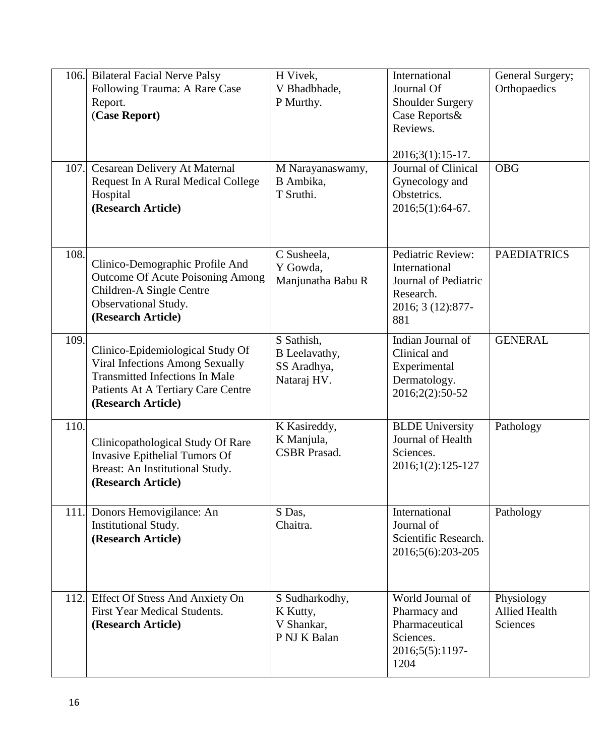| 106.<br>107. | <b>Bilateral Facial Nerve Palsy</b><br>Following Trauma: A Rare Case<br>Report.<br>(Case Report)<br>Cesarean Delivery At Maternal<br>Request In A Rural Medical College<br>Hospital<br>(Research Article) | H Vivek,<br>V Bhadbhade,<br>P Murthy.<br>M Narayanaswamy,<br>B Ambika,<br>T Sruthi. | International<br>Journal Of<br><b>Shoulder Surgery</b><br>Case Reports&<br>Reviews.<br>$2016;3(1):15-17.$<br>Journal of Clinical<br>Gynecology and<br>Obstetrics.<br>2016;5(1):64-67. | General Surgery;<br>Orthopaedics<br><b>OBG</b> |
|--------------|-----------------------------------------------------------------------------------------------------------------------------------------------------------------------------------------------------------|-------------------------------------------------------------------------------------|---------------------------------------------------------------------------------------------------------------------------------------------------------------------------------------|------------------------------------------------|
| 108.         | Clinico-Demographic Profile And<br><b>Outcome Of Acute Poisoning Among</b><br>Children-A Single Centre<br>Observational Study.<br>(Research Article)                                                      | C Susheela,<br>Y Gowda,<br>Manjunatha Babu R                                        | Pediatric Review:<br>International<br>Journal of Pediatric<br>Research.<br>2016; 3 (12):877-<br>881                                                                                   | <b>PAEDIATRICS</b>                             |
| 109.         | Clinico-Epidemiological Study Of<br><b>Viral Infections Among Sexually</b><br><b>Transmitted Infections In Male</b><br>Patients At A Tertiary Care Centre<br>(Research Article)                           | S Sathish,<br>B Leelavathy,<br>SS Aradhya,<br>Nataraj HV.                           | Indian Journal of<br>Clinical and<br>Experimental<br>Dermatology.<br>2016;2(2):50-52                                                                                                  | <b>GENERAL</b>                                 |
| 110.         | Clinicopathological Study Of Rare<br>Invasive Epithelial Tumors Of<br>Breast: An Institutional Study.<br>(Research Article)                                                                               | K Kasireddy,<br>K Manjula,<br><b>CSBR</b> Prasad.                                   | <b>BLDE University</b><br>Journal of Health<br>Sciences.<br>2016;1(2):125-127                                                                                                         | Pathology                                      |
|              | 111. Donors Hemovigilance: An<br>Institutional Study.<br>(Research Article)                                                                                                                               | S Das,<br>Chaitra.                                                                  | International<br>Journal of<br>Scientific Research.<br>2016;5(6):203-205                                                                                                              | Pathology                                      |
| 112.         | Effect Of Stress And Anxiety On<br><b>First Year Medical Students.</b><br>(Research Article)                                                                                                              | S Sudharkodhy,<br>K Kutty,<br>V Shankar,<br>P NJ K Balan                            | World Journal of<br>Pharmacy and<br>Pharmaceutical<br>Sciences.<br>2016;5(5):1197-<br>1204                                                                                            | Physiology<br><b>Allied Health</b><br>Sciences |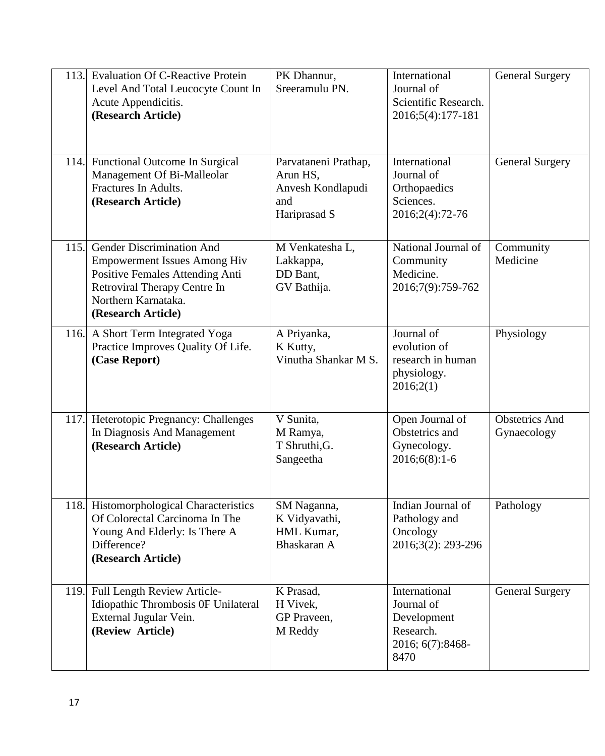| 113. | <b>Evaluation Of C-Reactive Protein</b><br>Level And Total Leucocyte Count In<br>Acute Appendicitis.<br>(Research Article)                                                              | PK Dhannur,<br>Sreeramulu PN.                                                | International<br>Journal of<br>Scientific Research.<br>2016;5(4):177-181            | <b>General Surgery</b>               |
|------|-----------------------------------------------------------------------------------------------------------------------------------------------------------------------------------------|------------------------------------------------------------------------------|-------------------------------------------------------------------------------------|--------------------------------------|
|      | 114. Functional Outcome In Surgical<br>Management Of Bi-Malleolar<br>Fractures In Adults.<br>(Research Article)                                                                         | Parvataneni Prathap,<br>Arun HS,<br>Anvesh Kondlapudi<br>and<br>Hariprasad S | International<br>Journal of<br>Orthopaedics<br>Sciences.<br>2016;2(4):72-76         | <b>General Surgery</b>               |
| 115. | <b>Gender Discrimination And</b><br><b>Empowerment Issues Among Hiv</b><br>Positive Females Attending Anti<br>Retroviral Therapy Centre In<br>Northern Karnataka.<br>(Research Article) | M Venkatesha L,<br>Lakkappa,<br>DD Bant,<br>GV Bathija.                      | National Journal of<br>Community<br>Medicine.<br>2016;7(9):759-762                  | Community<br>Medicine                |
| 116. | A Short Term Integrated Yoga<br>Practice Improves Quality Of Life.<br>(Case Report)                                                                                                     | A Priyanka,<br>K Kutty,<br>Vinutha Shankar M S.                              | Journal of<br>evolution of<br>research in human<br>physiology.<br>2016;2(1)         | Physiology                           |
| 117. | Heterotopic Pregnancy: Challenges<br>In Diagnosis And Management<br>(Research Article)                                                                                                  | V Sunita,<br>M Ramya,<br>T Shruthi, G.<br>Sangeetha                          | Open Journal of<br>Obstetrics and<br>Gynecology.<br>$2016;6(8):1-6$                 | <b>Obstetrics</b> And<br>Gynaecology |
| 118. | Histomorphological Characteristics<br>Of Colorectal Carcinoma In The<br>Young And Elderly: Is There A<br>Difference?<br>(Research Article)                                              | SM Naganna,<br>K Vidyavathi,<br>HML Kumar,<br>Bhaskaran A                    | Indian Journal of<br>Pathology and<br>Oncology<br>2016;3(2): 293-296                | Pathology                            |
| 119. | Full Length Review Article-<br>Idiopathic Thrombosis OF Unilateral<br>External Jugular Vein.<br>(Review Article)                                                                        | K Prasad,<br>H Vivek,<br>GP Praveen,<br>M Reddy                              | International<br>Journal of<br>Development<br>Research.<br>2016; 6(7):8468-<br>8470 | <b>General Surgery</b>               |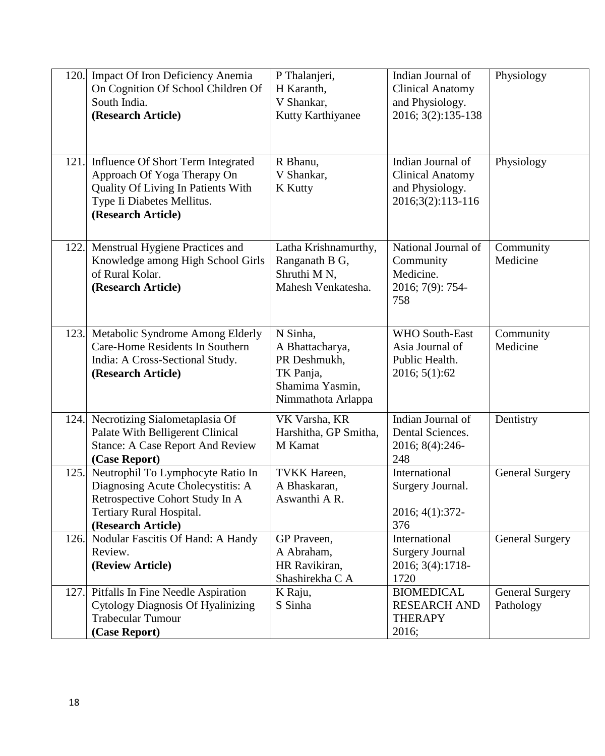| 120. | Impact Of Iron Deficiency Anemia<br>On Cognition Of School Children Of<br>South India.<br>(Research Article)                                                     | P Thalanjeri,<br>H Karanth,<br>V Shankar,<br>Kutty Karthiyanee                                    | Indian Journal of<br><b>Clinical Anatomy</b><br>and Physiology.<br>2016; 3(2):135-138 | Physiology                          |
|------|------------------------------------------------------------------------------------------------------------------------------------------------------------------|---------------------------------------------------------------------------------------------------|---------------------------------------------------------------------------------------|-------------------------------------|
|      | 121. Influence Of Short Term Integrated<br>Approach Of Yoga Therapy On<br>Quality Of Living In Patients With<br>Type Ii Diabetes Mellitus.<br>(Research Article) | R Bhanu,<br>V Shankar,<br><b>K</b> Kutty                                                          | Indian Journal of<br><b>Clinical Anatomy</b><br>and Physiology.<br>2016;3(2):113-116  | Physiology                          |
| 122. | Menstrual Hygiene Practices and<br>Knowledge among High School Girls<br>of Rural Kolar.<br>(Research Article)                                                    | Latha Krishnamurthy,<br>Ranganath B G,<br>Shruthi M N,<br>Mahesh Venkatesha.                      | National Journal of<br>Community<br>Medicine.<br>2016; 7(9): 754-<br>758              | Community<br>Medicine               |
| 123. | Metabolic Syndrome Among Elderly<br>Care-Home Residents In Southern<br>India: A Cross-Sectional Study.<br>(Research Article)                                     | N Sinha,<br>A Bhattacharya,<br>PR Deshmukh,<br>TK Panja,<br>Shamima Yasmin,<br>Nimmathota Arlappa | <b>WHO South-East</b><br>Asia Journal of<br>Public Health.<br>2016; 5(1):62           | Community<br>Medicine               |
| 124. | Necrotizing Sialometaplasia Of<br>Palate With Belligerent Clinical<br><b>Stance: A Case Report And Review</b><br>(Case Report)                                   | VK Varsha, KR<br>Harshitha, GP Smitha,<br>M Kamat                                                 | Indian Journal of<br>Dental Sciences.<br>2016; 8(4):246-<br>248                       | Dentistry                           |
| 125. | Neutrophil To Lymphocyte Ratio In<br>Diagnosing Acute Cholecystitis: A<br>Retrospective Cohort Study In A<br>Tertiary Rural Hospital.<br>(Research Article)      | <b>TVKK Hareen,</b><br>A Bhaskaran,<br>Aswanthi A R.                                              | International<br>Surgery Journal.<br>2016; 4(1):372-<br>376                           | <b>General Surgery</b>              |
| 126. | Nodular Fascitis Of Hand: A Handy<br>Review.<br>(Review Article)                                                                                                 | GP Praveen,<br>A Abraham,<br>HR Ravikiran,<br>Shashirekha C A                                     | International<br><b>Surgery Journal</b><br>2016; 3(4):1718-<br>1720                   | <b>General Surgery</b>              |
| 127. | Pitfalls In Fine Needle Aspiration<br><b>Cytology Diagnosis Of Hyalinizing</b><br><b>Trabecular Tumour</b><br>(Case Report)                                      | K Raju,<br>S Sinha                                                                                | <b>BIOMEDICAL</b><br><b>RESEARCH AND</b><br><b>THERAPY</b><br>2016;                   | <b>General Surgery</b><br>Pathology |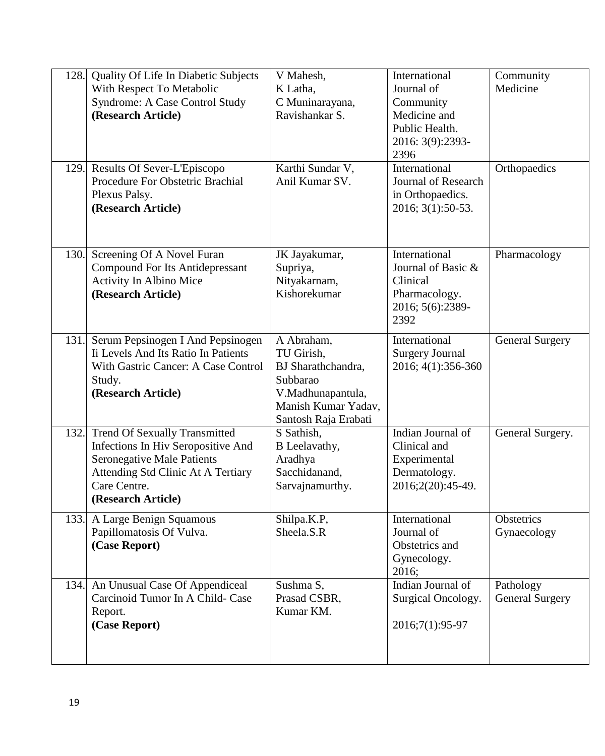| 128. | Quality Of Life In Diabetic Subjects<br>With Respect To Metabolic<br><b>Syndrome: A Case Control Study</b><br>(Research Article)<br>129. Results Of Sever-L'Episcopo<br>Procedure For Obstetric Brachial<br>Plexus Palsy.<br>(Research Article) | V Mahesh,<br>K Latha,<br>C Muninarayana,<br>Ravishankar S.<br>Karthi Sundar V,<br>Anil Kumar SV.                               | International<br>Journal of<br>Community<br>Medicine and<br>Public Health.<br>2016: 3(9):2393-<br>2396<br>International<br><b>Journal of Research</b><br>in Orthopaedics.<br>2016; 3(1):50-53. | Community<br>Medicine<br>Orthopaedics |
|------|-------------------------------------------------------------------------------------------------------------------------------------------------------------------------------------------------------------------------------------------------|--------------------------------------------------------------------------------------------------------------------------------|------------------------------------------------------------------------------------------------------------------------------------------------------------------------------------------------|---------------------------------------|
| 130. | Screening Of A Novel Furan<br><b>Compound For Its Antidepressant</b><br>Activity In Albino Mice<br>(Research Article)                                                                                                                           | JK Jayakumar,<br>Supriya,<br>Nityakarnam,<br>Kishorekumar                                                                      | International<br>Journal of Basic &<br>Clinical<br>Pharmacology.<br>2016; 5(6):2389-<br>2392                                                                                                   | Pharmacology                          |
| 131. | Serum Pepsinogen I And Pepsinogen<br>Ii Levels And Its Ratio In Patients<br>With Gastric Cancer: A Case Control<br>Study.<br>(Research Article)                                                                                                 | A Abraham,<br>TU Girish,<br>BJ Sharathchandra,<br>Subbarao<br>V.Madhunapantula,<br>Manish Kumar Yadav,<br>Santosh Raja Erabati | International<br><b>Surgery Journal</b><br>2016; 4(1):356-360                                                                                                                                  | <b>General Surgery</b>                |
| 132. | <b>Trend Of Sexually Transmitted</b><br>Infections In Hiv Seropositive And<br><b>Seronegative Male Patients</b><br>Attending Std Clinic At A Tertiary<br>Care Centre.<br>(Research Article)                                                     | S Sathish,<br>B Leelavathy,<br>Aradhya<br>Sacchidanand,<br>Sarvajnamurthy.                                                     | Indian Journal of<br>Clinical and<br>Experimental<br>Dermatology.<br>2016;2(20):45-49.                                                                                                         | General Surgery.                      |
| 133. | A Large Benign Squamous<br>Papillomatosis Of Vulva.<br>(Case Report)                                                                                                                                                                            | Shilpa.K.P,<br>Sheela.S.R                                                                                                      | International<br>Journal of<br>Obstetrics and<br>Gynecology.<br>2016;                                                                                                                          | Obstetrics<br>Gynaecology             |
| 134. | An Unusual Case Of Appendiceal<br>Carcinoid Tumor In A Child- Case<br>Report.<br>(Case Report)                                                                                                                                                  | Sushma S,<br>Prasad CSBR,<br>Kumar KM.                                                                                         | Indian Journal of<br>Surgical Oncology.<br>2016;7(1):95-97                                                                                                                                     | Pathology<br><b>General Surgery</b>   |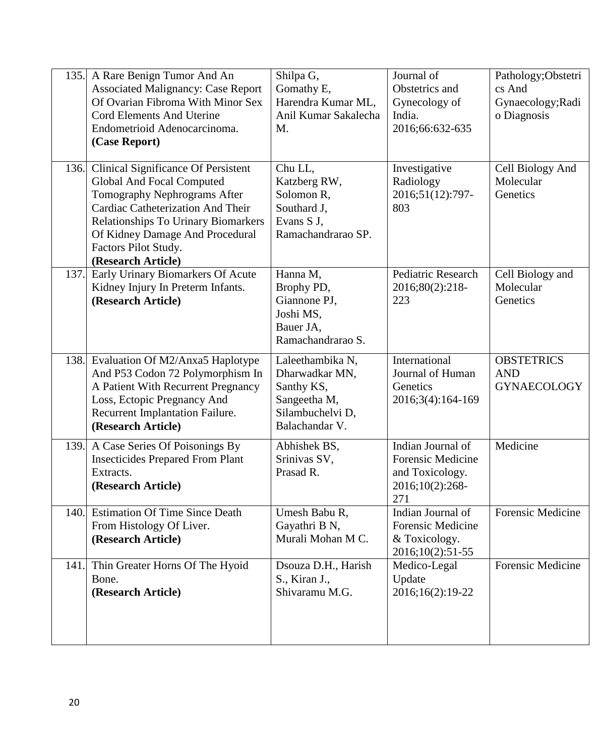| 135. | A Rare Benign Tumor And An<br><b>Associated Malignancy: Case Report</b><br>Of Ovarian Fibroma With Minor Sex<br>Cord Elements And Uterine<br>Endometrioid Adenocarcinoma.<br>(Case Report)                                                                                         | Shilpa G,<br>Gomathy E,<br>Harendra Kumar ML,<br>Anil Kumar Sakalecha<br>M.                            | Journal of<br>Obstetrics and<br>Gynecology of<br>India.<br>2016;66:632-635                 | Pathology; Obstetri<br>cs And<br>Gynaecology; Radi<br>o Diagnosis |
|------|------------------------------------------------------------------------------------------------------------------------------------------------------------------------------------------------------------------------------------------------------------------------------------|--------------------------------------------------------------------------------------------------------|--------------------------------------------------------------------------------------------|-------------------------------------------------------------------|
| 136. | <b>Clinical Significance Of Persistent</b><br><b>Global And Focal Computed</b><br>Tomography Nephrograms After<br>Cardiac Catheterization And Their<br><b>Relationships To Urinary Biomarkers</b><br>Of Kidney Damage And Procedural<br>Factors Pilot Study.<br>(Research Article) | Chu LL,<br>Katzberg RW,<br>Solomon R.<br>Southard J.<br>Evans S J,<br>Ramachandrarao SP.               | Investigative<br>Radiology<br>2016;51(12):797-<br>803                                      | Cell Biology And<br>Molecular<br>Genetics                         |
| 137. | Early Urinary Biomarkers Of Acute<br>Kidney Injury In Preterm Infants.<br>(Research Article)                                                                                                                                                                                       | Hanna M,<br>Brophy PD,<br>Giannone PJ,<br>Joshi MS,<br>Bauer JA,<br>Ramachandrarao S.                  | Pediatric Research<br>2016;80(2):218-<br>223                                               | Cell Biology and<br>Molecular<br>Genetics                         |
| 138. | Evaluation Of M2/Anxa5 Haplotype<br>And P53 Codon 72 Polymorphism In<br>A Patient With Recurrent Pregnancy<br>Loss, Ectopic Pregnancy And<br>Recurrent Implantation Failure.<br>(Research Article)                                                                                 | Laleethambika N,<br>Dharwadkar MN,<br>Santhy KS,<br>Sangeetha M,<br>Silambuchelvi D,<br>Balachandar V. | International<br>Journal of Human<br>Genetics<br>2016;3(4):164-169                         | <b>OBSTETRICS</b><br><b>AND</b><br><b>GYNAECOLOGY</b>             |
| 139. | A Case Series Of Poisonings By<br><b>Insecticides Prepared From Plant</b><br>Extracts.<br>(Research Article)                                                                                                                                                                       | Abhishek BS,<br>Srinivas SV,<br>Prasad R.                                                              | Indian Journal of<br><b>Forensic Medicine</b><br>and Toxicology.<br>2016;10(2):268-<br>271 | Medicine                                                          |
| 140. | <b>Estimation Of Time Since Death</b><br>From Histology Of Liver.<br>(Research Article)                                                                                                                                                                                            | Umesh Babu R,<br>Gayathri B N,<br>Murali Mohan M C.                                                    | Indian Journal of<br><b>Forensic Medicine</b><br>& Toxicology.<br>2016;10(2):51-55         | Forensic Medicine                                                 |
| 141. | Thin Greater Horns Of The Hyoid<br>Bone.<br>(Research Article)                                                                                                                                                                                                                     | Dsouza D.H., Harish<br>S., Kiran J.,<br>Shivaramu M.G.                                                 | Medico-Legal<br>Update<br>2016;16(2):19-22                                                 | <b>Forensic Medicine</b>                                          |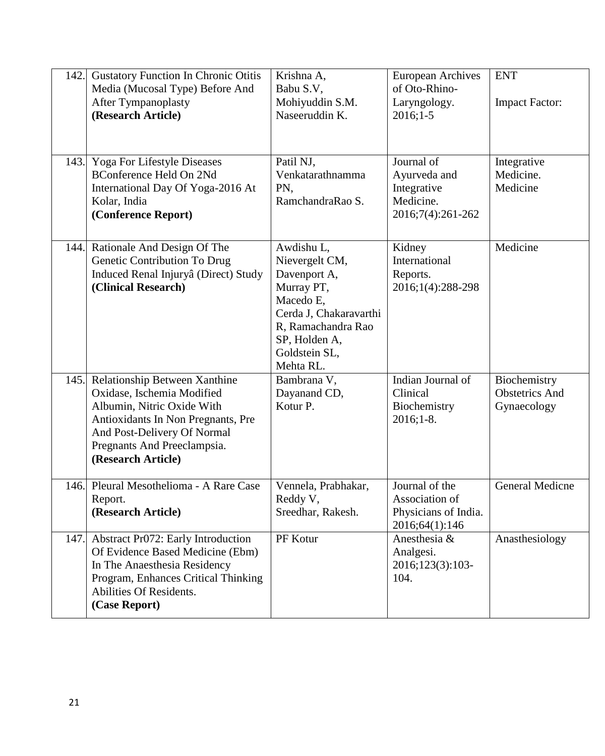| 142. | <b>Gustatory Function In Chronic Otitis</b><br>Media (Mucosal Type) Before And<br><b>After Tympanoplasty</b><br>(Research Article)                                                                                  | Krishna A,<br>Babu S.V,<br>Mohiyuddin S.M.<br>Naseeruddin K.                                                                                                           | <b>European Archives</b><br>of Oto-Rhino-<br>Laryngology.<br>$2016;1-5$     | <b>ENT</b><br><b>Impact Factor:</b>                  |
|------|---------------------------------------------------------------------------------------------------------------------------------------------------------------------------------------------------------------------|------------------------------------------------------------------------------------------------------------------------------------------------------------------------|-----------------------------------------------------------------------------|------------------------------------------------------|
| 143. | Yoga For Lifestyle Diseases<br><b>BConference Held On 2Nd</b><br>International Day Of Yoga-2016 At<br>Kolar, India<br>(Conference Report)                                                                           | Patil NJ,<br>Venkatarathnamma<br>PN,<br>RamchandraRao S.                                                                                                               | Journal of<br>Ayurveda and<br>Integrative<br>Medicine.<br>2016;7(4):261-262 | Integrative<br>Medicine.<br>Medicine                 |
| 144. | Rationale And Design Of The<br>Genetic Contribution To Drug<br>Induced Renal Injuryâ (Direct) Study<br>(Clinical Research)                                                                                          | Awdishu L,<br>Nievergelt CM,<br>Davenport A,<br>Murray PT,<br>Macedo E,<br>Cerda J, Chakaravarthi<br>R, Ramachandra Rao<br>SP, Holden A,<br>Goldstein SL,<br>Mehta RL. | Kidney<br>International<br>Reports.<br>2016;1(4):288-298                    | Medicine                                             |
| 145. | Relationship Between Xanthine<br>Oxidase, Ischemia Modified<br>Albumin, Nitric Oxide With<br>Antioxidants In Non Pregnants, Pre<br>And Post-Delivery Of Normal<br>Pregnants And Preeclampsia.<br>(Research Article) | Bambrana V,<br>Dayanand CD,<br>Kotur P.                                                                                                                                | Indian Journal of<br>Clinical<br>Biochemistry<br>$2016;1-8.$                | Biochemistry<br><b>Obstetrics And</b><br>Gynaecology |
| 146. | Pleural Mesothelioma - A Rare Case<br>Report.<br>(Research Article)                                                                                                                                                 | Vennela, Prabhakar,<br>Reddy V,<br>Sreedhar, Rakesh.                                                                                                                   | Journal of the<br>Association of<br>Physicians of India.<br>2016;64(1):146  | General Medicne                                      |
| 147. | Abstract Pr072: Early Introduction<br>Of Evidence Based Medicine (Ebm)<br>In The Anaesthesia Residency<br>Program, Enhances Critical Thinking<br>Abilities Of Residents.<br>(Case Report)                           | PF Kotur                                                                                                                                                               | Anesthesia &<br>Analgesi.<br>2016;123(3):103-<br>104.                       | Anasthesiology                                       |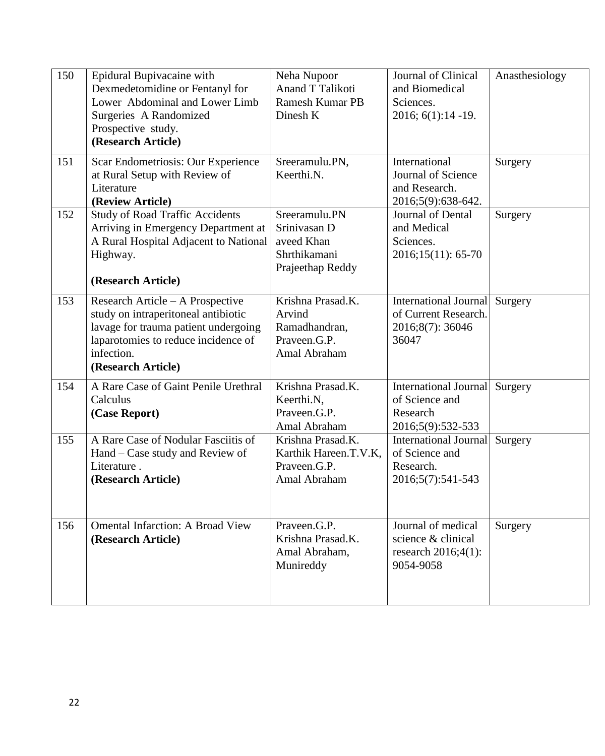| 150 | Epidural Bupivacaine with<br>Dexmedetomidine or Fentanyl for<br>Lower Abdominal and Lower Limb<br>Surgeries A Randomized<br>Prospective study.<br>(Research Article)                       | Neha Nupoor<br>Anand T Talikoti<br><b>Ramesh Kumar PB</b><br>Dinesh K           | Journal of Clinical<br>and Biomedical<br>Sciences.<br>2016; 6(1):14 -19.         | Anasthesiology |
|-----|--------------------------------------------------------------------------------------------------------------------------------------------------------------------------------------------|---------------------------------------------------------------------------------|----------------------------------------------------------------------------------|----------------|
| 151 | Scar Endometriosis: Our Experience<br>at Rural Setup with Review of<br>Literature<br>(Review Article)                                                                                      | Sreeramulu.PN,<br>Keerthi.N.                                                    | International<br>Journal of Science<br>and Research.<br>2016;5(9):638-642.       | Surgery        |
| 152 | <b>Study of Road Traffic Accidents</b><br>Arriving in Emergency Department at<br>A Rural Hospital Adjacent to National<br>Highway.<br>(Research Article)                                   | Sreeramulu.PN<br>Srinivasan D<br>aveed Khan<br>Shrthikamani<br>Prajeethap Reddy | Journal of Dental<br>and Medical<br>Sciences.<br>2016;15(11): 65-70              | Surgery        |
| 153 | Research Article - A Prospective<br>study on intraperitoneal antibiotic<br>lavage for trauma patient undergoing<br>laparotomies to reduce incidence of<br>infection.<br>(Research Article) | Krishna Prasad.K.<br>Arvind<br>Ramadhandran,<br>Praveen.G.P.<br>Amal Abraham    | International Journal<br>of Current Research.<br>2016;8(7): 36046<br>36047       | Surgery        |
| 154 | A Rare Case of Gaint Penile Urethral<br>Calculus<br>(Case Report)                                                                                                                          | Krishna Prasad.K.<br>Keerthi.N,<br>Praveen.G.P.<br>Amal Abraham                 | <b>International Journal</b><br>of Science and<br>Research<br>2016;5(9):532-533  | Surgery        |
| 155 | A Rare Case of Nodular Fasciitis of<br>Hand – Case study and Review of<br>Literature.<br>(Research Article)                                                                                | Krishna Prasad.K.<br>Karthik Hareen.T.V.K,<br>Praveen.G.P.<br>Amal Abraham      | <b>International Journal</b><br>of Science and<br>Research.<br>2016;5(7):541-543 | Surgery        |
| 156 | <b>Omental Infarction: A Broad View</b><br>(Research Article)                                                                                                                              | Praveen.G.P.<br>Krishna Prasad.K.<br>Amal Abraham,<br>Munireddy                 | Journal of medical<br>science & clinical<br>research 2016;4(1):<br>9054-9058     | Surgery        |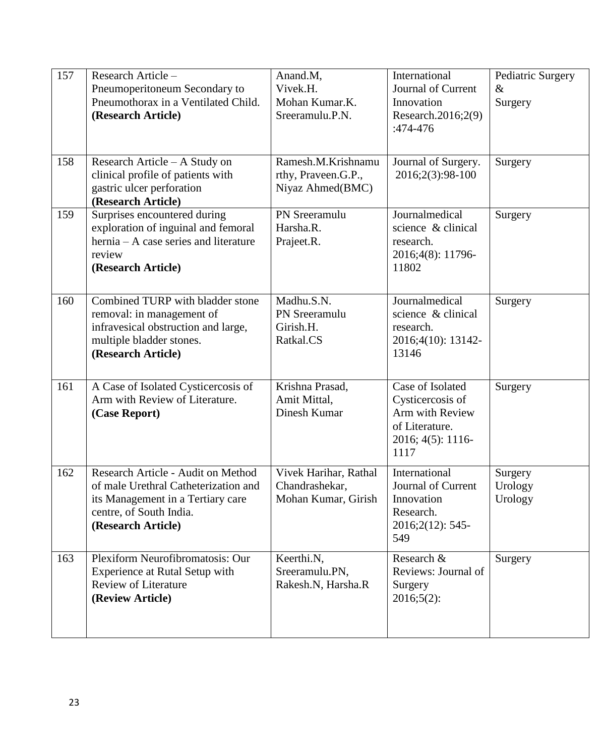| 157 | Research Article-<br>Pneumoperitoneum Secondary to<br>Pneumothorax in a Ventilated Child.<br>(Research Article)                                                  | Anand.M,<br>Vivek.H.<br>Mohan Kumar.K.<br>Sreeramulu.P.N.      | International<br>Journal of Current<br>Innovation<br>Research.2016;2(9)<br>:474-476                    | Pediatric Surgery<br>$\&$<br>Surgery |
|-----|------------------------------------------------------------------------------------------------------------------------------------------------------------------|----------------------------------------------------------------|--------------------------------------------------------------------------------------------------------|--------------------------------------|
| 158 | Research Article – A Study on<br>clinical profile of patients with<br>gastric ulcer perforation<br>(Research Article)                                            | Ramesh.M.Krishnamu<br>rthy, Praveen.G.P.,<br>Niyaz Ahmed(BMC)  | Journal of Surgery.<br>2016;2(3):98-100                                                                | Surgery                              |
| 159 | Surprises encountered during<br>exploration of inguinal and femoral<br>hernia – A case series and literature<br>review<br>(Research Article)                     | PN Sreeramulu<br>Harsha.R.<br>Prajeet.R.                       | Journalmedical<br>science & clinical<br>research.<br>2016;4(8): 11796-<br>11802                        | Surgery                              |
| 160 | Combined TURP with bladder stone<br>removal: in management of<br>infravesical obstruction and large,<br>multiple bladder stones.<br>(Research Article)           | Madhu.S.N.<br>PN Sreeramulu<br>Girish.H.<br>Ratkal.CS          | Journalmedical<br>science & clinical<br>research.<br>2016;4(10): 13142-<br>13146                       | Surgery                              |
| 161 | A Case of Isolated Cysticercosis of<br>Arm with Review of Literature.<br>(Case Report)                                                                           | Krishna Prasad,<br>Amit Mittal,<br>Dinesh Kumar                | Case of Isolated<br>Cysticercosis of<br>Arm with Review<br>of Literature.<br>2016; 4(5): 1116-<br>1117 | Surgery                              |
| 162 | Research Article - Audit on Method<br>of male Urethral Catheterization and<br>its Management in a Tertiary care<br>centre, of South India.<br>(Research Article) | Vivek Harihar, Rathal<br>Chandrashekar,<br>Mohan Kumar, Girish | International<br>Journal of Current<br>Innovation<br>Research.<br>$2016;2(12):545$ -<br>549            | Surgery<br>Urology<br>Urology        |
| 163 | Plexiform Neurofibromatosis: Our<br><b>Experience at Rutal Setup with</b><br><b>Review of Literature</b><br>(Review Article)                                     | Keerthi.N,<br>Sreeramulu.PN,<br>Rakesh.N, Harsha.R             | Research &<br>Reviews: Journal of<br>Surgery<br>$2016;5(2)$ :                                          | Surgery                              |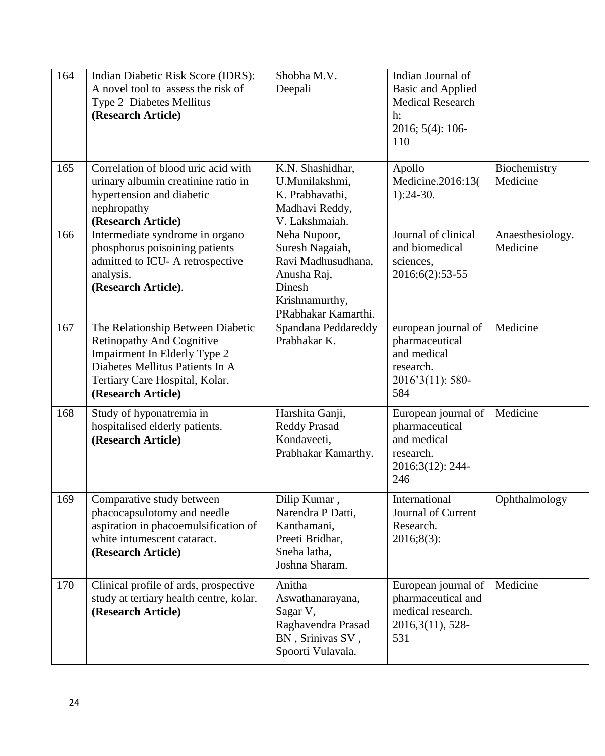| 164 | Indian Diabetic Risk Score (IDRS):<br>A novel tool to assess the risk of<br>Type 2 Diabetes Mellitus<br>(Research Article)                                                                       | Shobha M.V.<br>Deepali                                                                                                  | Indian Journal of<br><b>Basic and Applied</b><br><b>Medical Research</b><br>$h$ ;<br>2016; 5(4): 106-<br>110 |                              |
|-----|--------------------------------------------------------------------------------------------------------------------------------------------------------------------------------------------------|-------------------------------------------------------------------------------------------------------------------------|--------------------------------------------------------------------------------------------------------------|------------------------------|
| 165 | Correlation of blood uric acid with<br>urinary albumin creatinine ratio in<br>hypertension and diabetic<br>nephropathy<br>(Research Article)                                                     | K.N. Shashidhar,<br>U.Munilakshmi,<br>K. Prabhavathi,<br>Madhavi Reddy,<br>V. Lakshmaiah.                               | Apollo<br>Medicine.2016:13(<br>$1):24-30.$                                                                   | Biochemistry<br>Medicine     |
| 166 | Intermediate syndrome in organo<br>phosphorus poisoining patients<br>admitted to ICU- A retrospective<br>analysis.<br>(Research Article).                                                        | Neha Nupoor,<br>Suresh Nagaiah,<br>Ravi Madhusudhana,<br>Anusha Raj,<br>Dinesh<br>Krishnamurthy,<br>PRabhakar Kamarthi. | Journal of clinical<br>and biomedical<br>sciences,<br>2016;6(2):53-55                                        | Anaesthesiology.<br>Medicine |
| 167 | The Relationship Between Diabetic<br><b>Retinopathy And Cognitive</b><br>Impairment In Elderly Type 2<br>Diabetes Mellitus Patients In A<br>Tertiary Care Hospital, Kolar.<br>(Research Article) | Spandana Peddareddy<br>Prabhakar K.                                                                                     | european journal of<br>pharmaceutical<br>and medical<br>research.<br>2016'3(11): 580-<br>584                 | Medicine                     |
| 168 | Study of hyponatremia in<br>hospitalised elderly patients.<br>(Research Article)                                                                                                                 | Harshita Ganji,<br><b>Reddy Prasad</b><br>Kondaveeti,<br>Prabhakar Kamarthy.                                            | European journal of<br>pharmaceutical<br>and medical<br>research.<br>2016;3(12): 244-<br>246                 | Medicine                     |
| 169 | Comparative study between<br>phacocapsulotomy and needle<br>aspiration in phacoemulsification of<br>white intumescent cataract.<br>(Research Article)                                            | Dilip Kumar,<br>Narendra P Datti,<br>Kanthamani,<br>Preeti Bridhar,<br>Sneha latha,<br>Joshna Sharam.                   | International<br>Journal of Current<br>Research.<br>2016;8(3):                                               | Ophthalmology                |
| 170 | Clinical profile of ards, prospective<br>study at tertiary health centre, kolar.<br>(Research Article)                                                                                           | Anitha<br>Aswathanarayana,<br>Sagar V,<br>Raghavendra Prasad<br>BN, Srinivas SV,<br>Spoorti Vulavala.                   | European journal of<br>pharmaceutical and<br>medical research.<br>2016, 3(11), 528-<br>531                   | Medicine                     |